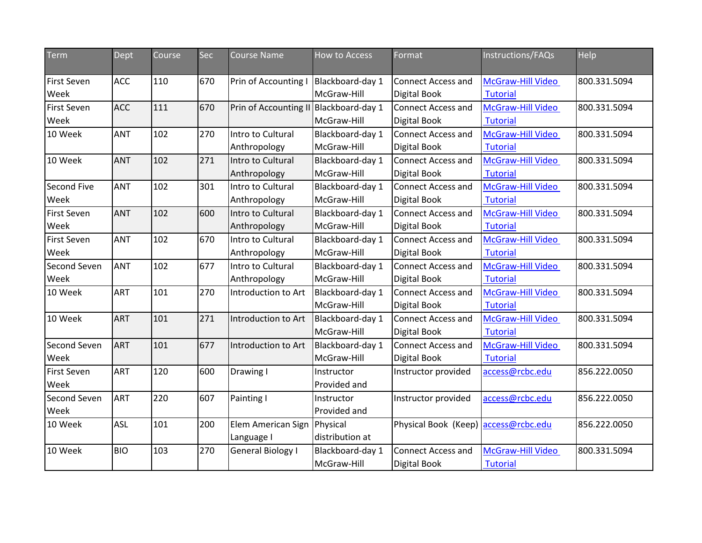| Term                       | Dept       | Course | Sec | <b>Course Name</b>                     | <b>How to Access</b>            | Format                                           | Instructions/FAQs                           | Help         |
|----------------------------|------------|--------|-----|----------------------------------------|---------------------------------|--------------------------------------------------|---------------------------------------------|--------------|
| <b>First Seven</b><br>Week | <b>ACC</b> | 110    | 670 | Prin of Accounting                     | Blackboard-day 1<br>McGraw-Hill | <b>Connect Access and</b><br><b>Digital Book</b> | <b>McGraw-Hill Video</b><br><b>Tutorial</b> | 800.331.5094 |
| <b>First Seven</b><br>Week | <b>ACC</b> | 111    | 670 | Prin of Accounting II Blackboard-day 1 | McGraw-Hill                     | <b>Connect Access and</b><br><b>Digital Book</b> | McGraw-Hill Video<br><b>Tutorial</b>        | 800.331.5094 |
| 10 Week                    | <b>ANT</b> | 102    | 270 | Intro to Cultural<br>Anthropology      | Blackboard-day 1<br>McGraw-Hill | <b>Connect Access and</b><br><b>Digital Book</b> | McGraw-Hill Video<br><b>Tutorial</b>        | 800.331.5094 |
| 10 Week                    | <b>ANT</b> | 102    | 271 | Intro to Cultural<br>Anthropology      | Blackboard-day 1<br>McGraw-Hill | <b>Connect Access and</b><br>Digital Book        | McGraw-Hill Video<br><b>Tutorial</b>        | 800.331.5094 |
| Second Five<br>Week        | ANT        | 102    | 301 | Intro to Cultural<br>Anthropology      | Blackboard-day 1<br>McGraw-Hill | <b>Connect Access and</b><br>Digital Book        | McGraw-Hill Video<br><b>Tutorial</b>        | 800.331.5094 |
| <b>First Seven</b><br>Week | <b>ANT</b> | 102    | 600 | Intro to Cultural<br>Anthropology      | Blackboard-day 1<br>McGraw-Hill | <b>Connect Access and</b><br><b>Digital Book</b> | McGraw-Hill Video<br><b>Tutorial</b>        | 800.331.5094 |
| <b>First Seven</b><br>Week | <b>ANT</b> | 102    | 670 | Intro to Cultural<br>Anthropology      | Blackboard-day 1<br>McGraw-Hill | <b>Connect Access and</b><br>Digital Book        | McGraw-Hill Video<br><b>Tutorial</b>        | 800.331.5094 |
| Second Seven<br>Week       | ANT        | 102    | 677 | Intro to Cultural<br>Anthropology      | Blackboard-day 1<br>McGraw-Hill | Connect Access and<br>Digital Book               | McGraw-Hill Video<br><b>Tutorial</b>        | 800.331.5094 |
| 10 Week                    | <b>ART</b> | 101    | 270 | Introduction to Art                    | Blackboard-day 1<br>McGraw-Hill | <b>Connect Access and</b><br>Digital Book        | McGraw-Hill Video<br><b>Tutorial</b>        | 800.331.5094 |
| 10 Week                    | <b>ART</b> | 101    | 271 | Introduction to Art                    | Blackboard-day 1<br>McGraw-Hill | <b>Connect Access and</b><br>Digital Book        | McGraw-Hill Video<br><b>Tutorial</b>        | 800.331.5094 |
| Second Seven<br>Week       | <b>ART</b> | 101    | 677 | Introduction to Art                    | Blackboard-day 1<br>McGraw-Hill | Connect Access and<br>Digital Book               | McGraw-Hill Video<br><b>Tutorial</b>        | 800.331.5094 |
| <b>First Seven</b><br>Week | <b>ART</b> | 120    | 600 | Drawing I                              | Instructor<br>Provided and      | Instructor provided                              | access@rcbc.edu                             | 856.222.0050 |
| Second Seven<br>Week       | <b>ART</b> | 220    | 607 | Painting I                             | Instructor<br>Provided and      | Instructor provided                              | access@rcbc.edu                             | 856.222.0050 |
| 10 Week                    | <b>ASL</b> | 101    | 200 | Elem American Sign<br>Language I       | Physical<br>distribution at     | Physical Book (Keep) access@rcbc.edu             |                                             | 856.222.0050 |
| 10 Week                    | <b>BIO</b> | 103    | 270 | <b>General Biology I</b>               | Blackboard-day 1<br>McGraw-Hill | <b>Connect Access and</b><br><b>Digital Book</b> | McGraw-Hill Video<br>Tutorial               | 800.331.5094 |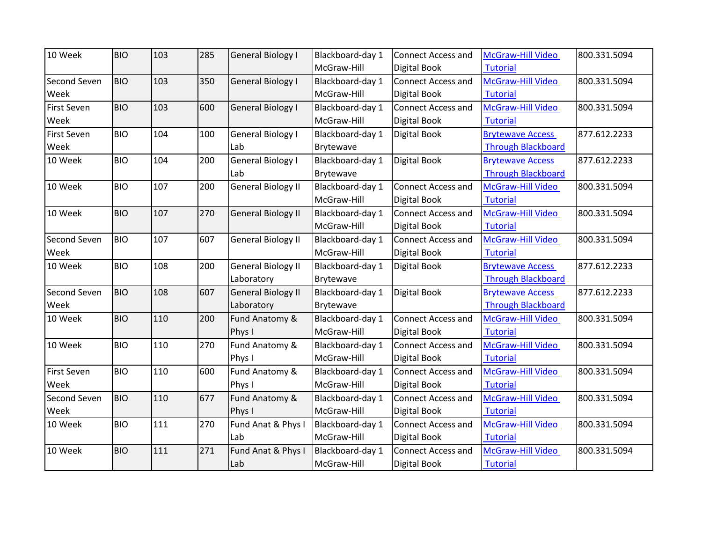| 10 Week            | <b>BIO</b> | 103 | 285 | <b>General Biology I</b>  | Blackboard-day 1 | <b>Connect Access and</b> | McGraw-Hill Video         | 800.331.5094 |
|--------------------|------------|-----|-----|---------------------------|------------------|---------------------------|---------------------------|--------------|
|                    |            |     |     |                           | McGraw-Hill      | Digital Book              | <b>Tutorial</b>           |              |
| Second Seven       | <b>BIO</b> | 103 | 350 | <b>General Biology I</b>  | Blackboard-day 1 | <b>Connect Access and</b> | McGraw-Hill Video         | 800.331.5094 |
| Week               |            |     |     |                           | McGraw-Hill      | Digital Book              | <b>Tutorial</b>           |              |
| First Seven        | <b>BIO</b> | 103 | 600 | <b>General Biology I</b>  | Blackboard-day 1 | <b>Connect Access and</b> | McGraw-Hill Video         | 800.331.5094 |
| Week               |            |     |     |                           | McGraw-Hill      | Digital Book              | <b>Tutorial</b>           |              |
| First Seven        | <b>BIO</b> | 104 | 100 | <b>General Biology I</b>  | Blackboard-day 1 | Digital Book              | <b>Brytewave Access</b>   | 877.612.2233 |
| Week               |            |     |     | Lab                       | Brytewave        |                           | <b>Through Blackboard</b> |              |
| 10 Week            | <b>BIO</b> | 104 | 200 | <b>General Biology I</b>  | Blackboard-day 1 | Digital Book              | <b>Brytewave Access</b>   | 877.612.2233 |
|                    |            |     |     | Lab                       | Brytewave        |                           | <b>Through Blackboard</b> |              |
| 10 Week            | <b>BIO</b> | 107 | 200 | <b>General Biology II</b> | Blackboard-day 1 | <b>Connect Access and</b> | McGraw-Hill Video         | 800.331.5094 |
|                    |            |     |     |                           | McGraw-Hill      | Digital Book              | Tutorial                  |              |
| 10 Week            | <b>BIO</b> | 107 | 270 | <b>General Biology II</b> | Blackboard-day 1 | <b>Connect Access and</b> | McGraw-Hill Video         | 800.331.5094 |
|                    |            |     |     |                           | McGraw-Hill      | Digital Book              | <b>Tutorial</b>           |              |
| Second Seven       | <b>BIO</b> | 107 | 607 | <b>General Biology II</b> | Blackboard-day 1 | <b>Connect Access and</b> | McGraw-Hill Video         | 800.331.5094 |
| Week               |            |     |     |                           | McGraw-Hill      | Digital Book              | <b>Tutorial</b>           |              |
| 10 Week            | <b>BIO</b> | 108 | 200 | <b>General Biology II</b> | Blackboard-day 1 | Digital Book              | <b>Brytewave Access</b>   | 877.612.2233 |
|                    |            |     |     | Laboratory                | Brytewave        |                           | <b>Through Blackboard</b> |              |
| Second Seven       | <b>BIO</b> | 108 | 607 | <b>General Biology II</b> | Blackboard-day 1 | <b>Digital Book</b>       | <b>Brytewave Access</b>   | 877.612.2233 |
| Week               |            |     |     | Laboratory                | <b>Brytewave</b> |                           | <b>Through Blackboard</b> |              |
| 10 Week            | <b>BIO</b> | 110 | 200 | Fund Anatomy &            | Blackboard-day 1 | <b>Connect Access and</b> | McGraw-Hill Video         | 800.331.5094 |
|                    |            |     |     | Phys I                    | McGraw-Hill      | Digital Book              | <b>Tutorial</b>           |              |
| 10 Week            | <b>BIO</b> | 110 | 270 | Fund Anatomy &            | Blackboard-day 1 | <b>Connect Access and</b> | McGraw-Hill Video         | 800.331.5094 |
|                    |            |     |     | Phys I                    | McGraw-Hill      | Digital Book              | <b>Tutorial</b>           |              |
| <b>First Seven</b> | <b>BIO</b> | 110 | 600 | Fund Anatomy &            | Blackboard-day 1 | <b>Connect Access and</b> | McGraw-Hill Video         | 800.331.5094 |
| Week               |            |     |     | Phys I                    | McGraw-Hill      | Digital Book              | <b>Tutorial</b>           |              |
| Second Seven       | <b>BIO</b> | 110 | 677 | Fund Anatomy &            | Blackboard-day 1 | <b>Connect Access and</b> | McGraw-Hill Video         | 800.331.5094 |
| Week               |            |     |     | Phys I                    | McGraw-Hill      | Digital Book              | <b>Tutorial</b>           |              |
| 10 Week            | <b>BIO</b> | 111 | 270 | Fund Anat & Phys I        | Blackboard-day 1 | <b>Connect Access and</b> | McGraw-Hill Video         | 800.331.5094 |
|                    |            |     |     | Lab                       | McGraw-Hill      | Digital Book              | <b>Tutorial</b>           |              |
| 10 Week            | <b>BIO</b> | 111 | 271 | Fund Anat & Phys I        | Blackboard-day 1 | <b>Connect Access and</b> | McGraw-Hill Video         | 800.331.5094 |
|                    |            |     |     | Lab                       | McGraw-Hill      | Digital Book              | Tutorial                  |              |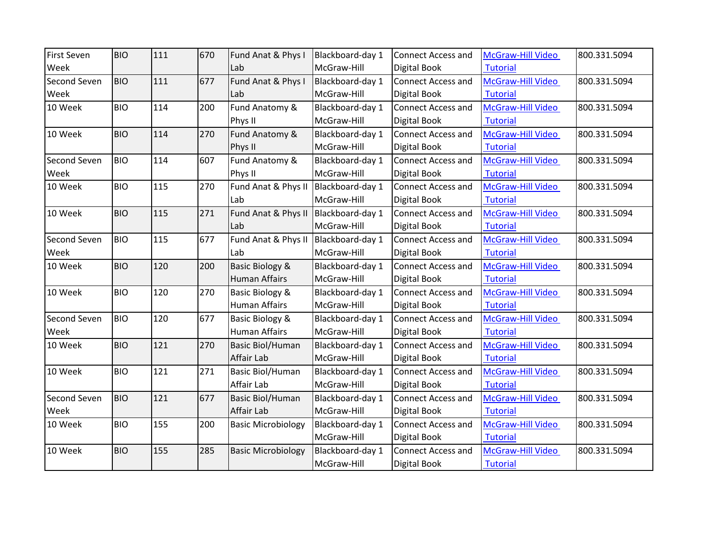| <b>First Seven</b>  | <b>BIO</b> | 111 | 670 | Fund Anat & Phys I         | Blackboard-day 1 | <b>Connect Access and</b> | McGraw-Hill Video | 800.331.5094 |
|---------------------|------------|-----|-----|----------------------------|------------------|---------------------------|-------------------|--------------|
| Week                |            |     |     | Lab                        | McGraw-Hill      | Digital Book              | <b>Tutorial</b>   |              |
| Second Seven        | <b>BIO</b> | 111 | 677 | Fund Anat & Phys I         | Blackboard-day 1 | Connect Access and        | McGraw-Hill Video | 800.331.5094 |
| Week                |            |     |     | Lab                        | McGraw-Hill      | Digital Book              | <b>Tutorial</b>   |              |
| 10 Week             | <b>BIO</b> | 114 | 200 | Fund Anatomy &             | Blackboard-day 1 | <b>Connect Access and</b> | McGraw-Hill Video | 800.331.5094 |
|                     |            |     |     | Phys II                    | McGraw-Hill      | Digital Book              | <b>Tutorial</b>   |              |
| 10 Week             | <b>BIO</b> | 114 | 270 | Fund Anatomy &             | Blackboard-day 1 | <b>Connect Access and</b> | McGraw-Hill Video | 800.331.5094 |
|                     |            |     |     | Phys II                    | McGraw-Hill      | Digital Book              | <b>Tutorial</b>   |              |
| <b>Second Seven</b> | <b>BIO</b> | 114 | 607 | Fund Anatomy &             | Blackboard-day 1 | <b>Connect Access and</b> | McGraw-Hill Video | 800.331.5094 |
| Week                |            |     |     | Phys II                    | McGraw-Hill      | Digital Book              | <b>Tutorial</b>   |              |
| 10 Week             | <b>BIO</b> | 115 | 270 | Fund Anat & Phys II        | Blackboard-day 1 | <b>Connect Access and</b> | McGraw-Hill Video | 800.331.5094 |
|                     |            |     |     | Lab                        | McGraw-Hill      | Digital Book              | <b>Tutorial</b>   |              |
| 10 Week             | <b>BIO</b> | 115 | 271 | Fund Anat & Phys II        | Blackboard-day 1 | <b>Connect Access and</b> | McGraw-Hill Video | 800.331.5094 |
|                     |            |     |     | Lab                        | McGraw-Hill      | Digital Book              | <b>Tutorial</b>   |              |
| Second Seven        | <b>BIO</b> | 115 | 677 | Fund Anat & Phys II        | Blackboard-day 1 | <b>Connect Access and</b> | McGraw-Hill Video | 800.331.5094 |
| Week                |            |     |     | Lab                        | McGraw-Hill      | Digital Book              | <b>Tutorial</b>   |              |
| 10 Week             | <b>BIO</b> | 120 | 200 | <b>Basic Biology &amp;</b> | Blackboard-day 1 | <b>Connect Access and</b> | McGraw-Hill Video | 800.331.5094 |
|                     |            |     |     | <b>Human Affairs</b>       | McGraw-Hill      | Digital Book              | <b>Tutorial</b>   |              |
| 10 Week             | <b>BIO</b> | 120 | 270 | Basic Biology &            | Blackboard-day 1 | <b>Connect Access and</b> | McGraw-Hill Video | 800.331.5094 |
|                     |            |     |     | <b>Human Affairs</b>       | McGraw-Hill      | Digital Book              | <b>Tutorial</b>   |              |
| Second Seven        | <b>BIO</b> | 120 | 677 | Basic Biology &            | Blackboard-day 1 | <b>Connect Access and</b> | McGraw-Hill Video | 800.331.5094 |
| Week                |            |     |     | <b>Human Affairs</b>       | McGraw-Hill      | Digital Book              | <b>Tutorial</b>   |              |
| 10 Week             | <b>BIO</b> | 121 | 270 | <b>Basic Biol/Human</b>    | Blackboard-day 1 | Connect Access and        | McGraw-Hill Video | 800.331.5094 |
|                     |            |     |     | Affair Lab                 | McGraw-Hill      | Digital Book              | <b>Tutorial</b>   |              |
| 10 Week             | <b>BIO</b> | 121 | 271 | <b>Basic Biol/Human</b>    | Blackboard-day 1 | <b>Connect Access and</b> | McGraw-Hill Video | 800.331.5094 |
|                     |            |     |     | Affair Lab                 | McGraw-Hill      | Digital Book              | <b>Tutorial</b>   |              |
| Second Seven        | <b>BIO</b> | 121 | 677 | <b>Basic Biol/Human</b>    | Blackboard-day 1 | <b>Connect Access and</b> | McGraw-Hill Video | 800.331.5094 |
| Week                |            |     |     | Affair Lab                 | McGraw-Hill      | Digital Book              | <b>Tutorial</b>   |              |
| 10 Week             | <b>BIO</b> | 155 | 200 | <b>Basic Microbiology</b>  | Blackboard-day 1 | <b>Connect Access and</b> | McGraw-Hill Video | 800.331.5094 |
|                     |            |     |     |                            | McGraw-Hill      | Digital Book              | <b>Tutorial</b>   |              |
| 10 Week             | <b>BIO</b> | 155 | 285 | <b>Basic Microbiology</b>  | Blackboard-day 1 | <b>Connect Access and</b> | McGraw-Hill Video | 800.331.5094 |
|                     |            |     |     |                            | McGraw-Hill      | Digital Book              | Tutorial          |              |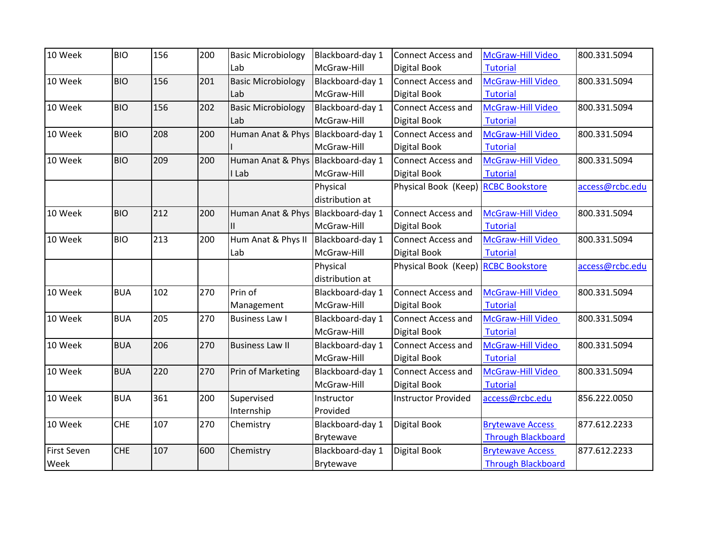| 10 Week            | <b>BIO</b> | 156 | 200 | <b>Basic Microbiology</b>          | Blackboard-day 1 | <b>Connect Access and</b>           | <b>McGraw-Hill Video</b>  | 800.331.5094    |
|--------------------|------------|-----|-----|------------------------------------|------------------|-------------------------------------|---------------------------|-----------------|
|                    |            |     |     | Lab                                | McGraw-Hill      | Digital Book                        | <b>Tutorial</b>           |                 |
| 10 Week            | <b>BIO</b> | 156 | 201 | <b>Basic Microbiology</b>          | Blackboard-day 1 | <b>Connect Access and</b>           | McGraw-Hill Video         | 800.331.5094    |
|                    |            |     |     | Lab                                | McGraw-Hill      | Digital Book                        | <b>Tutorial</b>           |                 |
| 10 Week            | <b>BIO</b> | 156 | 202 | <b>Basic Microbiology</b>          | Blackboard-day 1 | <b>Connect Access and</b>           | McGraw-Hill Video         | 800.331.5094    |
|                    |            |     |     | Lab                                | McGraw-Hill      | Digital Book                        | <b>Tutorial</b>           |                 |
| 10 Week            | <b>BIO</b> | 208 | 200 | Human Anat & Phys Blackboard-day 1 |                  | <b>Connect Access and</b>           | McGraw-Hill Video         | 800.331.5094    |
|                    |            |     |     |                                    | McGraw-Hill      | <b>Digital Book</b>                 | <b>Tutorial</b>           |                 |
| 10 Week            | <b>BIO</b> | 209 | 200 | Human Anat & Phys Blackboard-day 1 |                  | <b>Connect Access and</b>           | McGraw-Hill Video         | 800.331.5094    |
|                    |            |     |     | I Lab                              | McGraw-Hill      | Digital Book                        | <b>Tutorial</b>           |                 |
|                    |            |     |     |                                    | Physical         | Physical Book (Keep) RCBC Bookstore |                           | access@rcbc.edu |
|                    |            |     |     |                                    | distribution at  |                                     |                           |                 |
| 10 Week            | <b>BIO</b> | 212 | 200 | Human Anat & Phys Blackboard-day 1 |                  | <b>Connect Access and</b>           | McGraw-Hill Video         | 800.331.5094    |
|                    |            |     |     | Ш                                  | McGraw-Hill      | Digital Book                        | <b>Tutorial</b>           |                 |
| 10 Week            | <b>BIO</b> | 213 | 200 | Hum Anat & Phys II                 | Blackboard-day 1 | <b>Connect Access and</b>           | McGraw-Hill Video         | 800.331.5094    |
|                    |            |     |     | Lab                                | McGraw-Hill      | Digital Book                        | <b>Tutorial</b>           |                 |
|                    |            |     |     |                                    | Physical         | Physical Book (Keep) RCBC Bookstore |                           | access@rcbc.edu |
|                    |            |     |     |                                    | distribution at  |                                     |                           |                 |
| 10 Week            | <b>BUA</b> | 102 | 270 | Prin of                            | Blackboard-day 1 | <b>Connect Access and</b>           | McGraw-Hill Video         | 800.331.5094    |
|                    |            |     |     | Management                         | McGraw-Hill      | Digital Book                        | <b>Tutorial</b>           |                 |
| 10 Week            | <b>BUA</b> | 205 | 270 | <b>Business Law I</b>              | Blackboard-day 1 | <b>Connect Access and</b>           | McGraw-Hill Video         | 800.331.5094    |
|                    |            |     |     |                                    | McGraw-Hill      | Digital Book                        | <b>Tutorial</b>           |                 |
| 10 Week            | <b>BUA</b> | 206 | 270 | <b>Business Law II</b>             | Blackboard-day 1 | <b>Connect Access and</b>           | McGraw-Hill Video         | 800.331.5094    |
|                    |            |     |     |                                    | McGraw-Hill      | Digital Book                        | <b>Tutorial</b>           |                 |
| 10 Week            | <b>BUA</b> | 220 | 270 | Prin of Marketing                  | Blackboard-day 1 | <b>Connect Access and</b>           | McGraw-Hill Video         | 800.331.5094    |
|                    |            |     |     |                                    | McGraw-Hill      | Digital Book                        | <b>Tutorial</b>           |                 |
| 10 Week            |            |     |     |                                    |                  |                                     |                           | 856.222.0050    |
|                    | <b>BUA</b> | 361 | 200 | Supervised                         | Instructor       | <b>Instructor Provided</b>          | access@rcbc.edu           |                 |
|                    |            |     |     | Internship                         | Provided         |                                     |                           |                 |
| 10 Week            | <b>CHE</b> | 107 | 270 | Chemistry                          | Blackboard-day 1 | Digital Book                        | <b>Brytewave Access</b>   | 877.612.2233    |
|                    |            |     |     |                                    | <b>Brytewave</b> |                                     | <b>Through Blackboard</b> |                 |
| <b>First Seven</b> | <b>CHE</b> | 107 | 600 | Chemistry                          | Blackboard-day 1 | Digital Book                        | <b>Brytewave Access</b>   | 877.612.2233    |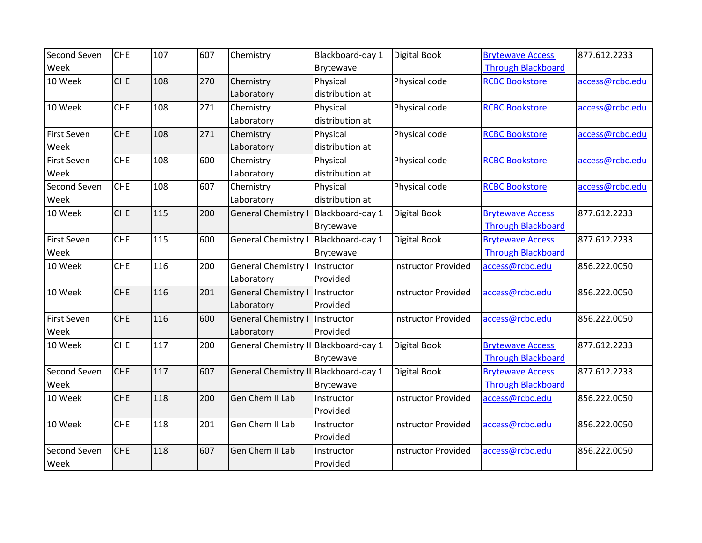| Second Seven       | <b>CHE</b> | 107 | 607 | Chemistry                             | Blackboard-day 1 | <b>Digital Book</b>        | <b>Brytewave Access</b>   | 877.612.2233    |
|--------------------|------------|-----|-----|---------------------------------------|------------------|----------------------------|---------------------------|-----------------|
| Week               |            |     |     |                                       | Brytewave        |                            | <b>Through Blackboard</b> |                 |
| 10 Week            | <b>CHE</b> | 108 | 270 | Chemistry                             | Physical         | Physical code              | <b>RCBC Bookstore</b>     | access@rcbc.edu |
|                    |            |     |     | Laboratory                            | distribution at  |                            |                           |                 |
| 10 Week            | <b>CHE</b> | 108 | 271 | Chemistry                             | Physical         | Physical code              | <b>RCBC Bookstore</b>     | access@rcbc.edu |
|                    |            |     |     | Laboratory                            | distribution at  |                            |                           |                 |
| First Seven        | <b>CHE</b> | 108 | 271 | Chemistry                             | Physical         | Physical code              | <b>RCBC Bookstore</b>     | access@rcbc.edu |
| Week               |            |     |     | Laboratory                            | distribution at  |                            |                           |                 |
| <b>First Seven</b> | <b>CHE</b> | 108 | 600 | Chemistry                             | Physical         | Physical code              | <b>RCBC Bookstore</b>     | access@rcbc.edu |
| Week               |            |     |     | Laboratory                            | distribution at  |                            |                           |                 |
| Second Seven       | <b>CHE</b> | 108 | 607 | Chemistry                             | Physical         | Physical code              | <b>RCBC Bookstore</b>     | access@rcbc.edu |
| Week               |            |     |     | Laboratory                            | distribution at  |                            |                           |                 |
| 10 Week            | <b>CHE</b> | 115 | 200 | <b>General Chemistry</b>              | Blackboard-day 1 | <b>Digital Book</b>        | <b>Brytewave Access</b>   | 877.612.2233    |
|                    |            |     |     |                                       | <b>Brytewave</b> |                            | <b>Through Blackboard</b> |                 |
| <b>First Seven</b> | <b>CHE</b> | 115 | 600 | General Chemistry I                   | Blackboard-day 1 | <b>Digital Book</b>        | <b>Brytewave Access</b>   | 877.612.2233    |
| Week               |            |     |     |                                       | <b>Brytewave</b> |                            | <b>Through Blackboard</b> |                 |
| 10 Week            | <b>CHE</b> | 116 | 200 | <b>General Chemistry I</b>            | Instructor       | <b>Instructor Provided</b> | access@rcbc.edu           | 856.222.0050    |
|                    |            |     |     | Laboratory                            | Provided         |                            |                           |                 |
| 10 Week            | <b>CHE</b> | 116 | 201 | General Chemistry I                   | Instructor       | <b>Instructor Provided</b> | access@rcbc.edu           | 856.222.0050    |
|                    |            |     |     | Laboratory                            | Provided         |                            |                           |                 |
| <b>First Seven</b> | <b>CHE</b> | 116 | 600 | <b>General Chemistry I</b>            | Instructor       | <b>Instructor Provided</b> | access@rcbc.edu           | 856.222.0050    |
| Week               |            |     |     | Laboratory                            | Provided         |                            |                           |                 |
| 10 Week            | <b>CHE</b> | 117 | 200 | General Chemistry II Blackboard-day 1 |                  | Digital Book               | <b>Brytewave Access</b>   | 877.612.2233    |
|                    |            |     |     |                                       | Brytewave        |                            | <b>Through Blackboard</b> |                 |
| Second Seven       | <b>CHE</b> | 117 | 607 | General Chemistry II Blackboard-day 1 |                  | <b>Digital Book</b>        | <b>Brytewave Access</b>   | 877.612.2233    |
| Week               |            |     |     |                                       | Brytewave        |                            | <b>Through Blackboard</b> |                 |
| 10 Week            | <b>CHE</b> | 118 | 200 | Gen Chem II Lab                       | Instructor       | <b>Instructor Provided</b> | access@rcbc.edu           | 856.222.0050    |
|                    |            |     |     |                                       | Provided         |                            |                           |                 |
| 10 Week            | <b>CHE</b> | 118 | 201 | Gen Chem II Lab                       | Instructor       | <b>Instructor Provided</b> | access@rcbc.edu           | 856.222.0050    |
|                    |            |     |     |                                       | Provided         |                            |                           |                 |
| Second Seven       | <b>CHE</b> | 118 | 607 | Gen Chem II Lab                       | Instructor       | <b>Instructor Provided</b> | access@rcbc.edu           | 856.222.0050    |
| Week               |            |     |     |                                       | Provided         |                            |                           |                 |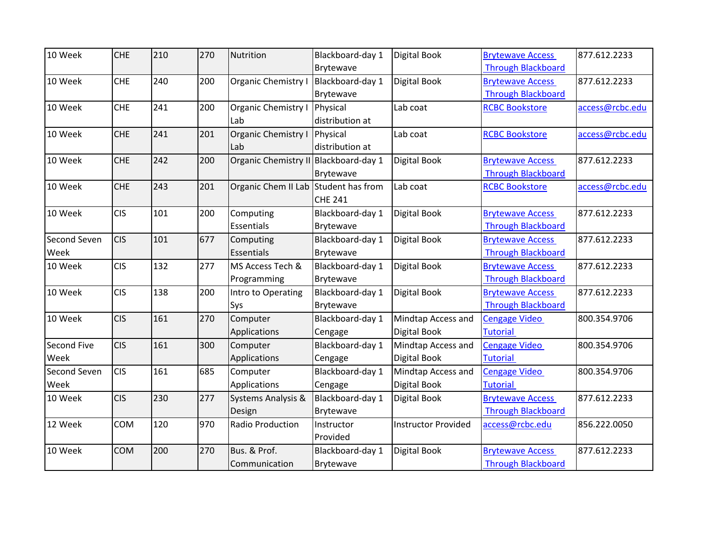| 10 Week      | <b>CHE</b> | 210 | 270 | Nutrition                             | Blackboard-day 1 | Digital Book               | <b>Brytewave Access</b>   | 877.612.2233    |
|--------------|------------|-----|-----|---------------------------------------|------------------|----------------------------|---------------------------|-----------------|
|              |            |     |     |                                       | Brytewave        |                            | <b>Through Blackboard</b> |                 |
| 10 Week      | <b>CHE</b> | 240 | 200 | Organic Chemistry                     | Blackboard-day 1 | Digital Book               | <b>Brytewave Access</b>   | 877.612.2233    |
|              |            |     |     |                                       | Brytewave        |                            | <b>Through Blackboard</b> |                 |
| 10 Week      | <b>CHE</b> | 241 | 200 | Organic Chemistry I                   | Physical         | Lab coat                   | <b>RCBC Bookstore</b>     | access@rcbc.edu |
|              |            |     |     | Lab                                   | distribution at  |                            |                           |                 |
| 10 Week      | <b>CHE</b> | 241 | 201 | <b>Organic Chemistry I</b>            | Physical         | Lab coat                   | <b>RCBC Bookstore</b>     | access@rcbc.edu |
|              |            |     |     | Lab                                   | distribution at  |                            |                           |                 |
| 10 Week      | <b>CHE</b> | 242 | 200 | Organic Chemistry II Blackboard-day 1 |                  | Digital Book               | <b>Brytewave Access</b>   | 877.612.2233    |
|              |            |     |     |                                       | Brytewave        |                            | <b>Through Blackboard</b> |                 |
| 10 Week      | <b>CHE</b> | 243 | 201 | Organic Chem II Lab Student has from  |                  | Lab coat                   | <b>RCBC Bookstore</b>     | access@rcbc.edu |
|              |            |     |     |                                       | <b>CHE 241</b>   |                            |                           |                 |
| 10 Week      | <b>CIS</b> | 101 | 200 | Computing                             | Blackboard-day 1 | Digital Book               | <b>Brytewave Access</b>   | 877.612.2233    |
|              |            |     |     | Essentials                            | Brytewave        |                            | <b>Through Blackboard</b> |                 |
| Second Seven | <b>CIS</b> | 101 | 677 | Computing                             | Blackboard-day 1 | Digital Book               | <b>Brytewave Access</b>   | 877.612.2233    |
| Week         |            |     |     | Essentials                            | Brytewave        |                            | <b>Through Blackboard</b> |                 |
| 10 Week      | <b>CIS</b> | 132 | 277 | MS Access Tech &                      | Blackboard-day 1 | Digital Book               | <b>Brytewave Access</b>   | 877.612.2233    |
|              |            |     |     | Programming                           | Brytewave        |                            | <b>Through Blackboard</b> |                 |
| 10 Week      | <b>CIS</b> | 138 | 200 | Intro to Operating                    | Blackboard-day 1 | Digital Book               | <b>Brytewave Access</b>   | 877.612.2233    |
|              |            |     |     | Sys                                   | Brytewave        |                            | <b>Through Blackboard</b> |                 |
| 10 Week      | <b>CIS</b> | 161 | 270 | Computer                              | Blackboard-day 1 | Mindtap Access and         | <b>Cengage Video</b>      | 800.354.9706    |
|              |            |     |     | Applications                          | Cengage          | Digital Book               | <b>Tutorial</b>           |                 |
| Second Five  | <b>CIS</b> | 161 | 300 | Computer                              | Blackboard-day 1 | Mindtap Access and         | <b>Cengage Video</b>      | 800.354.9706    |
| Week         |            |     |     | Applications                          | Cengage          | Digital Book               | <b>Tutorial</b>           |                 |
| Second Seven | <b>CIS</b> | 161 | 685 | Computer                              | Blackboard-day 1 | Mindtap Access and         | <b>Cengage Video</b>      | 800.354.9706    |
| Week         |            |     |     | Applications                          | Cengage          | Digital Book               | <b>Tutorial</b>           |                 |
| 10 Week      | <b>CIS</b> | 230 | 277 | Systems Analysis &                    | Blackboard-day 1 | Digital Book               | <b>Brytewave Access</b>   | 877.612.2233    |
|              |            |     |     | Design                                | Brytewave        |                            | <b>Through Blackboard</b> |                 |
| 12 Week      | COM        | 120 | 970 | Radio Production                      | Instructor       | <b>Instructor Provided</b> | access@rcbc.edu           | 856.222.0050    |
|              |            |     |     |                                       | Provided         |                            |                           |                 |
| 10 Week      | <b>COM</b> | 200 | 270 | Bus. & Prof.                          | Blackboard-day 1 | Digital Book               | <b>Brytewave Access</b>   | 877.612.2233    |
|              |            |     |     | Communication                         | Brytewave        |                            | <b>Through Blackboard</b> |                 |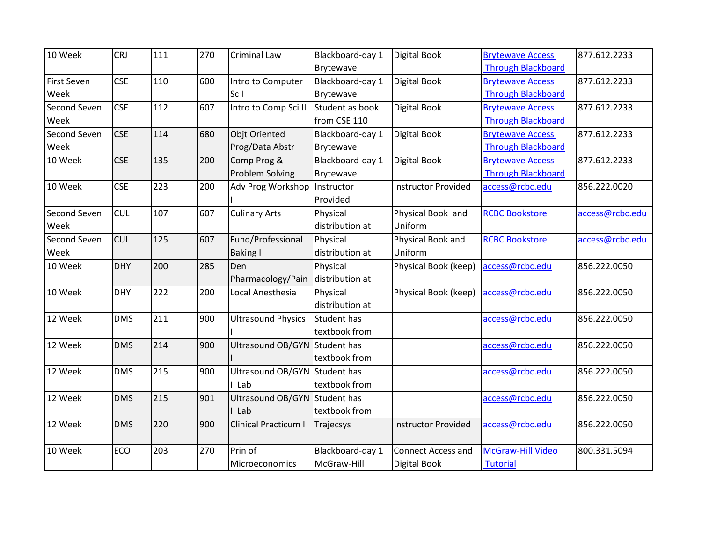| 10 Week            | <b>CRJ</b> | 111 | 270 | Criminal Law                  | Blackboard-day 1 | <b>Digital Book</b>        | <b>Brytewave Access</b>   | 877.612.2233    |
|--------------------|------------|-----|-----|-------------------------------|------------------|----------------------------|---------------------------|-----------------|
|                    |            |     |     |                               | Brytewave        |                            | <b>Through Blackboard</b> |                 |
| <b>First Seven</b> | <b>CSE</b> | 110 | 600 | Intro to Computer             | Blackboard-day 1 | <b>Digital Book</b>        | <b>Brytewave Access</b>   | 877.612.2233    |
| Week               |            |     |     | Sc I                          | Brytewave        |                            | <b>Through Blackboard</b> |                 |
| Second Seven       | <b>CSE</b> | 112 | 607 | Intro to Comp Sci II          | Student as book  | Digital Book               | <b>Brytewave Access</b>   | 877.612.2233    |
| Week               |            |     |     |                               | from CSE 110     |                            | <b>Through Blackboard</b> |                 |
| Second Seven       | <b>CSE</b> | 114 | 680 | <b>Objt Oriented</b>          | Blackboard-day 1 | Digital Book               | <b>Brytewave Access</b>   | 877.612.2233    |
| Week               |            |     |     | Prog/Data Abstr               | Brytewave        |                            | <b>Through Blackboard</b> |                 |
| 10 Week            | <b>CSE</b> | 135 | 200 | Comp Prog &                   | Blackboard-day 1 | <b>Digital Book</b>        | <b>Brytewave Access</b>   | 877.612.2233    |
|                    |            |     |     | Problem Solving               | Brytewave        |                            | <b>Through Blackboard</b> |                 |
| 10 Week            | <b>CSE</b> | 223 | 200 | Adv Prog Workshop Instructor  |                  | <b>Instructor Provided</b> | access@rcbc.edu           | 856.222.0020    |
|                    |            |     |     |                               | Provided         |                            |                           |                 |
| Second Seven       | <b>CUL</b> | 107 | 607 | <b>Culinary Arts</b>          | Physical         | Physical Book and          | <b>RCBC Bookstore</b>     | access@rcbc.edu |
| Week               |            |     |     |                               | distribution at  | Uniform                    |                           |                 |
| Second Seven       | <b>CUL</b> | 125 | 607 | Fund/Professional             | Physical         | Physical Book and          | <b>RCBC Bookstore</b>     | access@rcbc.edu |
| Week               |            |     |     | <b>Baking I</b>               | distribution at  | Uniform                    |                           |                 |
| 10 Week            | <b>DHY</b> | 200 | 285 | Den                           | Physical         | Physical Book (keep)       | access@rcbc.edu           | 856.222.0050    |
|                    |            |     |     | Pharmacology/Pain             | distribution at  |                            |                           |                 |
| 10 Week            | <b>DHY</b> | 222 | 200 | Local Anesthesia              | Physical         | Physical Book (keep)       | access@rcbc.edu           | 856.222.0050    |
|                    |            |     |     |                               | distribution at  |                            |                           |                 |
| 12 Week            | <b>DMS</b> | 211 | 900 | <b>Ultrasound Physics</b>     | Student has      |                            | access@rcbc.edu           | 856.222.0050    |
|                    |            |     |     |                               | textbook from    |                            |                           |                 |
| 12 Week            | <b>DMS</b> | 214 | 900 | Ultrasound OB/GYN Student has |                  |                            | access@rcbc.edu           | 856.222.0050    |
|                    |            |     |     |                               | textbook from    |                            |                           |                 |
| 12 Week            | <b>DMS</b> | 215 | 900 | Ultrasound OB/GYN Student has |                  |                            | access@rcbc.edu           | 856.222.0050    |
|                    |            |     |     | II Lab                        | textbook from    |                            |                           |                 |
| 12 Week            | <b>DMS</b> | 215 | 901 | Ultrasound OB/GYN Student has |                  |                            | access@rcbc.edu           | 856.222.0050    |
|                    |            |     |     | II Lab                        | textbook from    |                            |                           |                 |
| 12 Week            | <b>DMS</b> | 220 | 900 | <b>Clinical Practicum I</b>   | Trajecsys        | <b>Instructor Provided</b> | access@rcbc.edu           | 856.222.0050    |
|                    |            |     |     |                               |                  |                            |                           |                 |
| 10 Week            | ECO        | 203 | 270 | Prin of                       | Blackboard-day 1 | <b>Connect Access and</b>  | McGraw-Hill Video         | 800.331.5094    |
|                    |            |     |     | Microeconomics                | McGraw-Hill      | <b>Digital Book</b>        | <b>Tutorial</b>           |                 |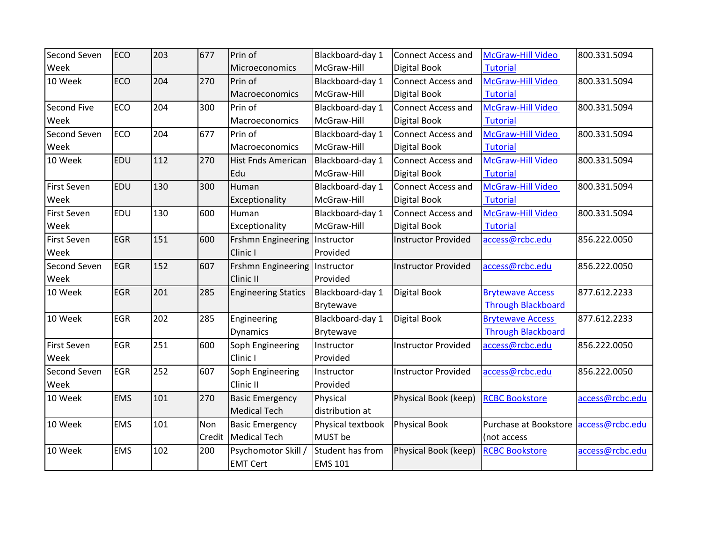| Second Seven       | <b>ECO</b> | 203 | 677    | Prin of                         | Blackboard-day 1  | <b>Connect Access and</b>  | <b>McGraw-Hill Video</b>  | 800.331.5094    |
|--------------------|------------|-----|--------|---------------------------------|-------------------|----------------------------|---------------------------|-----------------|
| Week               |            |     |        | Microeconomics                  | McGraw-Hill       | <b>Digital Book</b>        | <b>Tutorial</b>           |                 |
| 10 Week            | ECO        | 204 | 270    | Prin of                         | Blackboard-day 1  | <b>Connect Access and</b>  | McGraw-Hill Video         | 800.331.5094    |
|                    |            |     |        | Macroeconomics                  | McGraw-Hill       | <b>Digital Book</b>        | <b>Tutorial</b>           |                 |
| Second Five        | <b>ECO</b> | 204 | 300    | Prin of                         | Blackboard-day 1  | <b>Connect Access and</b>  | McGraw-Hill Video         | 800.331.5094    |
| Week               |            |     |        | Macroeconomics                  | McGraw-Hill       | <b>Digital Book</b>        | <b>Tutorial</b>           |                 |
| Second Seven       | <b>ECO</b> | 204 | 677    | Prin of                         | Blackboard-day 1  | <b>Connect Access and</b>  | McGraw-Hill Video         | 800.331.5094    |
| Week               |            |     |        | Macroeconomics                  | McGraw-Hill       | Digital Book               | <b>Tutorial</b>           |                 |
| 10 Week            | <b>EDU</b> | 112 | 270    | Hist Fnds American              | Blackboard-day 1  | <b>Connect Access and</b>  | McGraw-Hill Video         | 800.331.5094    |
|                    |            |     |        | Edu                             | McGraw-Hill       | Digital Book               | <b>Tutorial</b>           |                 |
| <b>First Seven</b> | <b>EDU</b> | 130 | 300    | Human                           | Blackboard-day 1  | <b>Connect Access and</b>  | McGraw-Hill Video         | 800.331.5094    |
| Week               |            |     |        | Exceptionality                  | McGraw-Hill       | <b>Digital Book</b>        | <b>Tutorial</b>           |                 |
| First Seven        | <b>EDU</b> | 130 | 600    | Human                           | Blackboard-day 1  | <b>Connect Access and</b>  | McGraw-Hill Video         | 800.331.5094    |
| Week               |            |     |        | Exceptionality                  | McGraw-Hill       | <b>Digital Book</b>        | <b>Tutorial</b>           |                 |
| <b>First Seven</b> | <b>EGR</b> | 151 | 600    | Frshmn Engineering   Instructor |                   | <b>Instructor Provided</b> | access@rcbc.edu           | 856.222.0050    |
| Week               |            |     |        | Clinic I                        | Provided          |                            |                           |                 |
| Second Seven       | <b>EGR</b> | 152 | 607    | Frshmn Engineering   Instructor |                   | <b>Instructor Provided</b> | access@rcbc.edu           | 856.222.0050    |
| Week               |            |     |        | Clinic II                       | Provided          |                            |                           |                 |
| 10 Week            | <b>EGR</b> | 201 | 285    | <b>Engineering Statics</b>      | Blackboard-day 1  | <b>Digital Book</b>        | <b>Brytewave Access</b>   | 877.612.2233    |
|                    |            |     |        |                                 | Brytewave         |                            | <b>Through Blackboard</b> |                 |
| 10 Week            | <b>EGR</b> | 202 | 285    | Engineering                     | Blackboard-day 1  | <b>Digital Book</b>        | <b>Brytewave Access</b>   | 877.612.2233    |
|                    |            |     |        | <b>Dynamics</b>                 | Brytewave         |                            | <b>Through Blackboard</b> |                 |
| <b>First Seven</b> | <b>EGR</b> | 251 | 600    | Soph Engineering                | Instructor        | <b>Instructor Provided</b> | access@rcbc.edu           | 856.222.0050    |
| Week               |            |     |        | Clinic I                        | Provided          |                            |                           |                 |
| Second Seven       | <b>EGR</b> | 252 | 607    | Soph Engineering                | Instructor        | <b>Instructor Provided</b> | access@rcbc.edu           | 856.222.0050    |
| Week               |            |     |        | Clinic II                       | Provided          |                            |                           |                 |
| 10 Week            | <b>EMS</b> | 101 | 270    | <b>Basic Emergency</b>          | Physical          | Physical Book (keep)       | <b>RCBC Bookstore</b>     | access@rcbc.edu |
|                    |            |     |        | <b>Medical Tech</b>             | distribution at   |                            |                           |                 |
| 10 Week            | <b>EMS</b> | 101 | Non    | <b>Basic Emergency</b>          | Physical textbook | <b>Physical Book</b>       | Purchase at Bookstore     | access@rcbc.edu |
|                    |            |     | Credit | <b>Medical Tech</b>             | MUST be           |                            | (not access               |                 |
| 10 Week            | <b>EMS</b> | 102 | 200    | Psychomotor Skill               | Student has from  | Physical Book (keep)       | <b>RCBC Bookstore</b>     | access@rcbc.edu |
|                    |            |     |        | <b>EMT Cert</b>                 | <b>EMS 101</b>    |                            |                           |                 |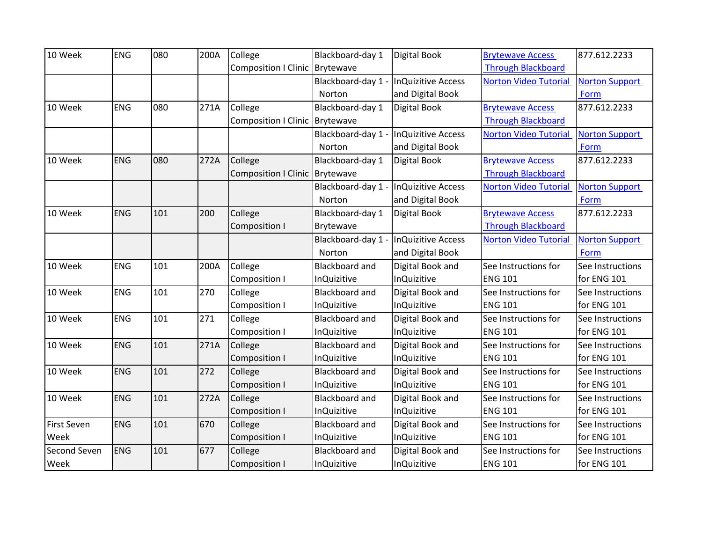| 10 Week            | <b>ENG</b> | 080 | 200A | College                        | Blackboard-day 1      | Digital Book              | <b>Brytewave Access</b>      | 877.612.2233          |
|--------------------|------------|-----|------|--------------------------------|-----------------------|---------------------------|------------------------------|-----------------------|
|                    |            |     |      | Composition I Clinic Brytewave |                       |                           | <b>Through Blackboard</b>    |                       |
|                    |            |     |      |                                | Blackboard-day 1 -    | <b>InQuizitive Access</b> | <b>Norton Video Tutorial</b> | <b>Norton Support</b> |
|                    |            |     |      |                                | Norton                | and Digital Book          |                              | Form                  |
| 10 Week            | <b>ENG</b> | 080 | 271A | College                        | Blackboard-day 1      | Digital Book              | <b>Brytewave Access</b>      | 877.612.2233          |
|                    |            |     |      | Composition I Clinic Brytewave |                       |                           | <b>Through Blackboard</b>    |                       |
|                    |            |     |      |                                | Blackboard-day 1 -    | <b>InQuizitive Access</b> | <b>Norton Video Tutorial</b> | <b>Norton Support</b> |
|                    |            |     |      |                                | Norton                | and Digital Book          |                              | Form                  |
| 10 Week            | <b>ENG</b> | 080 | 272A | College                        | Blackboard-day 1      | Digital Book              | <b>Brytewave Access</b>      | 877.612.2233          |
|                    |            |     |      | Composition I Clinic Brytewave |                       |                           | <b>Through Blackboard</b>    |                       |
|                    |            |     |      |                                | Blackboard-day 1 -    | <b>InQuizitive Access</b> | <b>Norton Video Tutorial</b> | <b>Norton Support</b> |
|                    |            |     |      |                                | Norton                | and Digital Book          |                              | Form                  |
| 10 Week            | <b>ENG</b> | 101 | 200  | College                        | Blackboard-day 1      | Digital Book              | <b>Brytewave Access</b>      | 877.612.2233          |
|                    |            |     |      | <b>Composition I</b>           | Brytewave             |                           | <b>Through Blackboard</b>    |                       |
|                    |            |     |      |                                | Blackboard-day 1 -    | <b>InQuizitive Access</b> | <b>Norton Video Tutorial</b> | <b>Norton Support</b> |
|                    |            |     |      |                                | Norton                | and Digital Book          |                              | Form                  |
| 10 Week            | <b>ENG</b> | 101 | 200A | College                        | <b>Blackboard and</b> | Digital Book and          | See Instructions for         | See Instructions      |
|                    |            |     |      | <b>Composition I</b>           | <b>InQuizitive</b>    | <b>InQuizitive</b>        | <b>ENG 101</b>               | for ENG 101           |
| 10 Week            | <b>ENG</b> | 101 | 270  | College                        | <b>Blackboard and</b> | Digital Book and          | See Instructions for         | See Instructions      |
|                    |            |     |      | <b>Composition I</b>           | <b>InQuizitive</b>    | <b>InQuizitive</b>        | <b>ENG 101</b>               | for ENG 101           |
| 10 Week            | <b>ENG</b> | 101 | 271  | College                        | <b>Blackboard and</b> | Digital Book and          | See Instructions for         | See Instructions      |
|                    |            |     |      | Composition I                  | <b>InQuizitive</b>    | <b>InQuizitive</b>        | <b>ENG 101</b>               | for ENG 101           |
| 10 Week            | <b>ENG</b> | 101 | 271A | College                        | <b>Blackboard and</b> | Digital Book and          | See Instructions for         | See Instructions      |
|                    |            |     |      | <b>Composition I</b>           | <b>InQuizitive</b>    | <b>InQuizitive</b>        | <b>ENG 101</b>               | for ENG 101           |
| 10 Week            | <b>ENG</b> | 101 | 272  | College                        | Blackboard and        | Digital Book and          | See Instructions for         | See Instructions      |
|                    |            |     |      | <b>Composition I</b>           | <b>InQuizitive</b>    | <b>InQuizitive</b>        | <b>ENG 101</b>               | for ENG 101           |
| 10 Week            | <b>ENG</b> | 101 | 272A | College                        | <b>Blackboard and</b> | Digital Book and          | See Instructions for         | See Instructions      |
|                    |            |     |      | <b>Composition I</b>           | <b>InQuizitive</b>    | <b>InQuizitive</b>        | <b>ENG 101</b>               | for ENG 101           |
| <b>First Seven</b> | ENG        | 101 | 670  | College                        | <b>Blackboard and</b> | Digital Book and          | See Instructions for         | See Instructions      |
| Week               |            |     |      | <b>Composition I</b>           | <b>InQuizitive</b>    | <b>InQuizitive</b>        | <b>ENG 101</b>               | for ENG 101           |
| Second Seven       | <b>ENG</b> | 101 | 677  | College                        | Blackboard and        | Digital Book and          | See Instructions for         | See Instructions      |
| Week               |            |     |      | <b>Composition I</b>           | <b>InQuizitive</b>    | <b>InQuizitive</b>        | <b>ENG 101</b>               | for ENG 101           |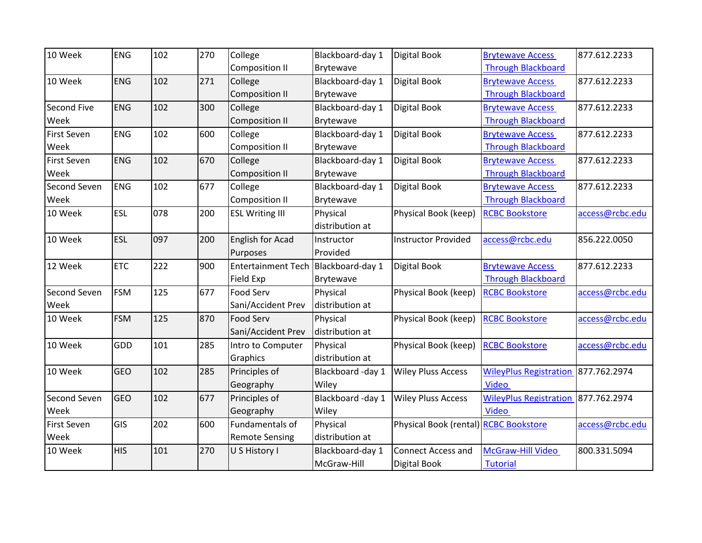| 10 Week            | <b>ENG</b> | 102 | 270 | College                             | Blackboard-day 1  | <b>Digital Book</b>                   | <b>Brytewave Access</b>       | 877.612.2233    |
|--------------------|------------|-----|-----|-------------------------------------|-------------------|---------------------------------------|-------------------------------|-----------------|
|                    |            |     |     | <b>Composition II</b>               | Brytewave         |                                       | <b>Through Blackboard</b>     |                 |
| 10 Week            | <b>ENG</b> | 102 | 271 | College                             | Blackboard-day 1  | Digital Book                          | <b>Brytewave Access</b>       | 877.612.2233    |
|                    |            |     |     | <b>Composition II</b>               | Brytewave         |                                       | <b>Through Blackboard</b>     |                 |
| Second Five        | <b>ENG</b> | 102 | 300 | College                             | Blackboard-day 1  | Digital Book                          | <b>Brytewave Access</b>       | 877.612.2233    |
| Week               |            |     |     | <b>Composition II</b>               | Brytewave         |                                       | <b>Through Blackboard</b>     |                 |
| First Seven        | <b>ENG</b> | 102 | 600 | College                             | Blackboard-day 1  | Digital Book                          | <b>Brytewave Access</b>       | 877.612.2233    |
| Week               |            |     |     | <b>Composition II</b>               | Brytewave         |                                       | <b>Through Blackboard</b>     |                 |
| <b>First Seven</b> | <b>ENG</b> | 102 | 670 | College                             | Blackboard-day 1  | <b>Digital Book</b>                   | <b>Brytewave Access</b>       | 877.612.2233    |
| Week               |            |     |     | <b>Composition II</b>               | Brytewave         |                                       | <b>Through Blackboard</b>     |                 |
| Second Seven       | ENG        | 102 | 677 | College                             | Blackboard-day 1  | Digital Book                          | <b>Brytewave Access</b>       | 877.612.2233    |
| Week               |            |     |     | <b>Composition II</b>               | Brytewave         |                                       | <b>Through Blackboard</b>     |                 |
| 10 Week            | ESL        | 078 | 200 | <b>ESL Writing III</b>              | Physical          | Physical Book (keep)                  | <b>RCBC Bookstore</b>         | access@rcbc.edu |
|                    |            |     |     |                                     | distribution at   |                                       |                               |                 |
| 10 Week            | <b>ESL</b> | 097 | 200 | English for Acad                    | Instructor        | <b>Instructor Provided</b>            | access@rcbc.edu               | 856.222.0050    |
|                    |            |     |     | Purposes                            | Provided          |                                       |                               |                 |
| 12 Week            | <b>ETC</b> | 222 | 900 | Entertainment Tech Blackboard-day 1 |                   | <b>Digital Book</b>                   | <b>Brytewave Access</b>       | 877.612.2233    |
|                    |            |     |     | Field Exp                           | Brytewave         |                                       | <b>Through Blackboard</b>     |                 |
| Second Seven       | <b>FSM</b> | 125 | 677 | <b>Food Serv</b>                    | Physical          | Physical Book (keep)                  | <b>RCBC Bookstore</b>         | access@rcbc.edu |
| Week               |            |     |     | Sani/Accident Prev                  | distribution at   |                                       |                               |                 |
| 10 Week            | <b>FSM</b> | 125 | 870 | Food Serv                           | Physical          | Physical Book (keep)                  | <b>RCBC Bookstore</b>         | access@rcbc.edu |
|                    |            |     |     | Sani/Accident Prev                  | distribution at   |                                       |                               |                 |
| 10 Week            | <b>GDD</b> | 101 | 285 | Intro to Computer                   | Physical          | Physical Book (keep)                  | <b>RCBC Bookstore</b>         | access@rcbc.edu |
|                    |            |     |     | Graphics                            | distribution at   |                                       |                               |                 |
| 10 Week            | <b>GEO</b> | 102 | 285 | Principles of                       | Blackboard -day 1 | <b>Wiley Pluss Access</b>             | <b>WileyPlus Registration</b> | 877.762.2974    |
|                    |            |     |     | Geography                           | Wiley             |                                       | <b>Video</b>                  |                 |
| Second Seven       | <b>GEO</b> | 102 | 677 | Principles of                       | Blackboard -day 1 | <b>Wiley Pluss Access</b>             | <b>WileyPlus Registration</b> | 877.762.2974    |
| Week               |            |     |     | Geography                           | Wiley             |                                       | <b>Video</b>                  |                 |
| <b>First Seven</b> | GIS        | 202 | 600 | Fundamentals of                     | Physical          | Physical Book (rental) RCBC Bookstore |                               | access@rcbc.edu |
| Week               |            |     |     | <b>Remote Sensing</b>               | distribution at   |                                       |                               |                 |
| 10 Week            | <b>HIS</b> | 101 | 270 | U S History I                       | Blackboard-day 1  | <b>Connect Access and</b>             | <b>McGraw-Hill Video</b>      | 800.331.5094    |
|                    |            |     |     |                                     | McGraw-Hill       | <b>Digital Book</b>                   | <b>Tutorial</b>               |                 |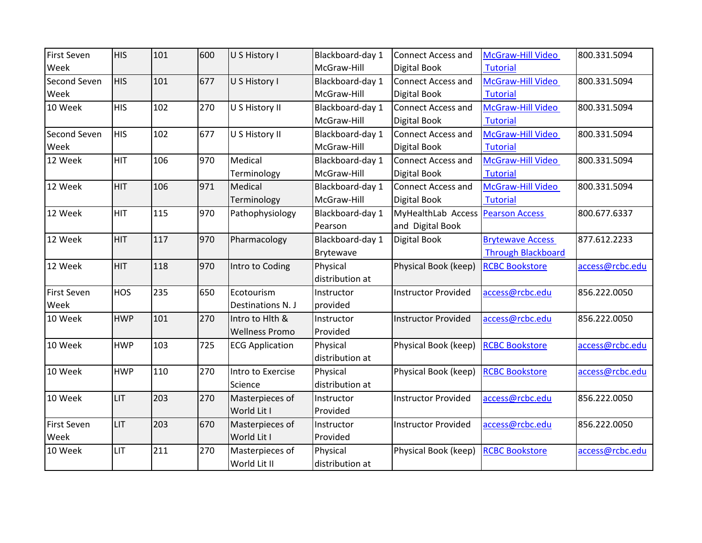| <b>First Seven</b> | <b>HIS</b> | 101 | 600 | U S History I          | Blackboard-day 1 | <b>Connect Access and</b>  | McGraw-Hill Video         | 800.331.5094    |
|--------------------|------------|-----|-----|------------------------|------------------|----------------------------|---------------------------|-----------------|
| Week               |            |     |     |                        | McGraw-Hill      | Digital Book               | <b>Tutorial</b>           |                 |
| Second Seven       | <b>HIS</b> | 101 | 677 | U S History I          | Blackboard-day 1 | <b>Connect Access and</b>  | McGraw-Hill Video         | 800.331.5094    |
| Week               |            |     |     |                        | McGraw-Hill      | Digital Book               | <b>Tutorial</b>           |                 |
| 10 Week            | <b>HIS</b> | 102 | 270 | U S History II         | Blackboard-day 1 | Connect Access and         | McGraw-Hill Video         | 800.331.5094    |
|                    |            |     |     |                        | McGraw-Hill      | Digital Book               | <b>Tutorial</b>           |                 |
| Second Seven       | <b>HIS</b> | 102 | 677 | U S History II         | Blackboard-day 1 | <b>Connect Access and</b>  | McGraw-Hill Video         | 800.331.5094    |
| Week               |            |     |     |                        | McGraw-Hill      | Digital Book               | <b>Tutorial</b>           |                 |
| 12 Week            | <b>HIT</b> | 106 | 970 | Medical                | Blackboard-day 1 | <b>Connect Access and</b>  | McGraw-Hill Video         | 800.331.5094    |
|                    |            |     |     | Terminology            | McGraw-Hill      | <b>Digital Book</b>        | <b>Tutorial</b>           |                 |
| 12 Week            | <b>HIT</b> | 106 | 971 | Medical                | Blackboard-day 1 | <b>Connect Access and</b>  | McGraw-Hill Video         | 800.331.5094    |
|                    |            |     |     | Terminology            | McGraw-Hill      | Digital Book               | <b>Tutorial</b>           |                 |
| 12 Week            | <b>HIT</b> | 115 | 970 | Pathophysiology        | Blackboard-day 1 | MyHealthLab Access         | <b>Pearson Access</b>     | 800.677.6337    |
|                    |            |     |     |                        | Pearson          | and Digital Book           |                           |                 |
| 12 Week            | <b>HIT</b> | 117 | 970 | Pharmacology           | Blackboard-day 1 | Digital Book               | <b>Brytewave Access</b>   | 877.612.2233    |
|                    |            |     |     |                        | Brytewave        |                            | <b>Through Blackboard</b> |                 |
| 12 Week            | <b>HIT</b> | 118 | 970 | Intro to Coding        | Physical         | Physical Book (keep)       | <b>RCBC Bookstore</b>     | access@rcbc.edu |
|                    |            |     |     |                        | distribution at  |                            |                           |                 |
| First Seven        | <b>HOS</b> | 235 | 650 | Ecotourism             | Instructor       | <b>Instructor Provided</b> | access@rcbc.edu           | 856.222.0050    |
| Week               |            |     |     | Destinations N. J      | provided         |                            |                           |                 |
| 10 Week            | <b>HWP</b> | 101 | 270 | Intro to Hith &        | Instructor       | <b>Instructor Provided</b> | access@rcbc.edu           | 856.222.0050    |
|                    |            |     |     | <b>Wellness Promo</b>  | Provided         |                            |                           |                 |
| 10 Week            | <b>HWP</b> | 103 | 725 | <b>ECG Application</b> | Physical         | Physical Book (keep)       | <b>RCBC Bookstore</b>     | access@rcbc.edu |
|                    |            |     |     |                        | distribution at  |                            |                           |                 |
| 10 Week            | <b>HWP</b> | 110 | 270 | Intro to Exercise      | Physical         | Physical Book (keep)       | <b>RCBC Bookstore</b>     | access@rcbc.edu |
|                    |            |     |     | Science                | distribution at  |                            |                           |                 |
| 10 Week            | LIT        | 203 | 270 | Masterpieces of        | Instructor       | <b>Instructor Provided</b> | access@rcbc.edu           | 856.222.0050    |
|                    |            |     |     | World Lit I            | Provided         |                            |                           |                 |
| <b>First Seven</b> | <b>LIT</b> | 203 | 670 | Masterpieces of        | Instructor       | <b>Instructor Provided</b> | access@rcbc.edu           | 856.222.0050    |
| Week               |            |     |     | World Lit I            | Provided         |                            |                           |                 |
| 10 Week            | LIT        | 211 | 270 | Masterpieces of        | Physical         | Physical Book (keep)       | <b>RCBC Bookstore</b>     | access@rcbc.edu |
|                    |            |     |     | World Lit II           | distribution at  |                            |                           |                 |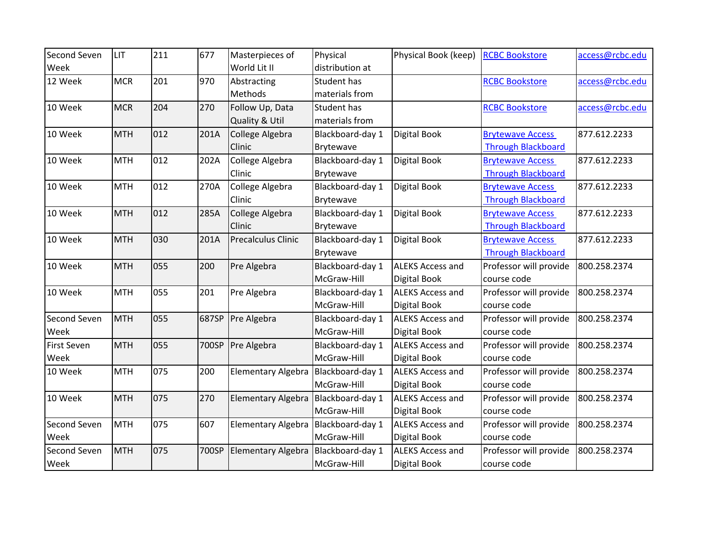| Second Seven       | LIT        | 211 | 677   | Masterpieces of           | Physical         | Physical Book (keep)    | <b>RCBC Bookstore</b>     | access@rcbc.edu |
|--------------------|------------|-----|-------|---------------------------|------------------|-------------------------|---------------------------|-----------------|
| Week               |            |     |       | World Lit II              | distribution at  |                         |                           |                 |
| 12 Week            | <b>MCR</b> | 201 | 970   | Abstracting               | Student has      |                         | <b>RCBC Bookstore</b>     | access@rcbc.edu |
|                    |            |     |       | Methods                   | materials from   |                         |                           |                 |
| 10 Week            | <b>MCR</b> | 204 | 270   | Follow Up, Data           | Student has      |                         | <b>RCBC Bookstore</b>     | access@rcbc.edu |
|                    |            |     |       | Quality & Util            | materials from   |                         |                           |                 |
| 10 Week            | <b>MTH</b> | 012 | 201A  | College Algebra           | Blackboard-day 1 | <b>Digital Book</b>     | <b>Brytewave Access</b>   | 877.612.2233    |
|                    |            |     |       | Clinic                    | Brytewave        |                         | <b>Through Blackboard</b> |                 |
| 10 Week            | <b>MTH</b> | 012 | 202A  | College Algebra           | Blackboard-day 1 | Digital Book            | <b>Brytewave Access</b>   | 877.612.2233    |
|                    |            |     |       | Clinic                    | Brytewave        |                         | <b>Through Blackboard</b> |                 |
| 10 Week            | <b>MTH</b> | 012 | 270A  | College Algebra           | Blackboard-day 1 | Digital Book            | <b>Brytewave Access</b>   | 877.612.2233    |
|                    |            |     |       | Clinic                    | Brytewave        |                         | <b>Through Blackboard</b> |                 |
| 10 Week            | <b>MTH</b> | 012 | 285A  | College Algebra           | Blackboard-day 1 | Digital Book            | <b>Brytewave Access</b>   | 877.612.2233    |
|                    |            |     |       | Clinic                    | Brytewave        |                         | <b>Through Blackboard</b> |                 |
| 10 Week            | <b>MTH</b> | 030 | 201A  | <b>Precalculus Clinic</b> | Blackboard-day 1 | Digital Book            | <b>Brytewave Access</b>   | 877.612.2233    |
|                    |            |     |       |                           | Brytewave        |                         | <b>Through Blackboard</b> |                 |
| 10 Week            | <b>MTH</b> | 055 | 200   | Pre Algebra               | Blackboard-day 1 | <b>ALEKS Access and</b> | Professor will provide    | 800.258.2374    |
|                    |            |     |       |                           | McGraw-Hill      | Digital Book            | course code               |                 |
| 10 Week            | <b>MTH</b> | 055 | 201   | Pre Algebra               | Blackboard-day 1 | <b>ALEKS Access and</b> | Professor will provide    | 800.258.2374    |
|                    |            |     |       |                           | McGraw-Hill      | Digital Book            | course code               |                 |
| Second Seven       | <b>MTH</b> | 055 | 687SP | Pre Algebra               | Blackboard-day 1 | <b>ALEKS Access and</b> | Professor will provide    | 800.258.2374    |
| Week               |            |     |       |                           | McGraw-Hill      | Digital Book            | course code               |                 |
| <b>First Seven</b> | <b>MTH</b> | 055 | 700SP | Pre Algebra               | Blackboard-day 1 | <b>ALEKS Access and</b> | Professor will provide    | 800.258.2374    |
| Week               |            |     |       |                           | McGraw-Hill      | Digital Book            | course code               |                 |
| 10 Week            | <b>MTH</b> | 075 | 200   | <b>Elementary Algebra</b> | Blackboard-day 1 | <b>ALEKS Access and</b> | Professor will provide    | 800.258.2374    |
|                    |            |     |       |                           | McGraw-Hill      | Digital Book            | course code               |                 |
| 10 Week            | <b>MTH</b> | 075 | 270   | <b>Elementary Algebra</b> | Blackboard-day 1 | <b>ALEKS Access and</b> | Professor will provide    | 800.258.2374    |
|                    |            |     |       |                           | McGraw-Hill      | Digital Book            | course code               |                 |
| Second Seven       | <b>MTH</b> | 075 | 607   | <b>Elementary Algebra</b> | Blackboard-day 1 | <b>ALEKS Access and</b> | Professor will provide    | 800.258.2374    |
| Week               |            |     |       |                           | McGraw-Hill      | Digital Book            | course code               |                 |
| Second Seven       | <b>MTH</b> | 075 | 700SP | <b>Elementary Algebra</b> | Blackboard-day 1 | <b>ALEKS Access and</b> | Professor will provide    | 800.258.2374    |
| Week               |            |     |       |                           | McGraw-Hill      | Digital Book            | course code               |                 |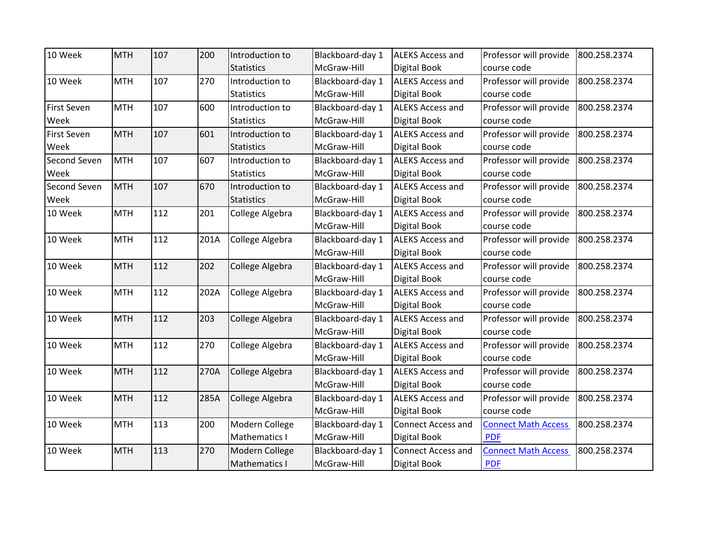| 10 Week            | <b>MTH</b> | 107 | 200  | Introduction to   | Blackboard-day 1 | <b>ALEKS Access and</b>   | Professor will provide     | 800.258.2374 |
|--------------------|------------|-----|------|-------------------|------------------|---------------------------|----------------------------|--------------|
|                    |            |     |      | <b>Statistics</b> | McGraw-Hill      | <b>Digital Book</b>       | course code                |              |
| 10 Week            | <b>MTH</b> | 107 | 270  | Introduction to   | Blackboard-day 1 | <b>ALEKS Access and</b>   | Professor will provide     | 800.258.2374 |
|                    |            |     |      | <b>Statistics</b> | McGraw-Hill      | Digital Book              | course code                |              |
| <b>First Seven</b> | <b>MTH</b> | 107 | 600  | Introduction to   | Blackboard-day 1 | <b>ALEKS Access and</b>   | Professor will provide     | 800.258.2374 |
| Week               |            |     |      | <b>Statistics</b> | McGraw-Hill      | <b>Digital Book</b>       | course code                |              |
| <b>First Seven</b> | <b>MTH</b> | 107 | 601  | Introduction to   | Blackboard-day 1 | <b>ALEKS Access and</b>   | Professor will provide     | 800.258.2374 |
| Week               |            |     |      | <b>Statistics</b> | McGraw-Hill      | Digital Book              | course code                |              |
| Second Seven       | <b>MTH</b> | 107 | 607  | Introduction to   | Blackboard-day 1 | <b>ALEKS Access and</b>   | Professor will provide     | 800.258.2374 |
| Week               |            |     |      | <b>Statistics</b> | McGraw-Hill      | Digital Book              | course code                |              |
| Second Seven       | <b>MTH</b> | 107 | 670  | Introduction to   | Blackboard-day 1 | <b>ALEKS Access and</b>   | Professor will provide     | 800.258.2374 |
| Week               |            |     |      | <b>Statistics</b> | McGraw-Hill      | <b>Digital Book</b>       | course code                |              |
| 10 Week            | <b>MTH</b> | 112 | 201  | College Algebra   | Blackboard-day 1 | <b>ALEKS Access and</b>   | Professor will provide     | 800.258.2374 |
|                    |            |     |      |                   | McGraw-Hill      | <b>Digital Book</b>       | course code                |              |
| 10 Week            | <b>MTH</b> | 112 | 201A | College Algebra   | Blackboard-day 1 | <b>ALEKS Access and</b>   | Professor will provide     | 800.258.2374 |
|                    |            |     |      |                   | McGraw-Hill      | Digital Book              | course code                |              |
| 10 Week            | <b>MTH</b> | 112 | 202  | College Algebra   | Blackboard-day 1 | <b>ALEKS Access and</b>   | Professor will provide     | 800.258.2374 |
|                    |            |     |      |                   | McGraw-Hill      | <b>Digital Book</b>       | course code                |              |
| 10 Week            | <b>MTH</b> | 112 | 202A | College Algebra   | Blackboard-day 1 | <b>ALEKS Access and</b>   | Professor will provide     | 800.258.2374 |
|                    |            |     |      |                   | McGraw-Hill      | <b>Digital Book</b>       | course code                |              |
| 10 Week            | <b>MTH</b> | 112 | 203  | College Algebra   | Blackboard-day 1 | <b>ALEKS Access and</b>   | Professor will provide     | 800.258.2374 |
|                    |            |     |      |                   | McGraw-Hill      | Digital Book              | course code                |              |
| 10 Week            | <b>MTH</b> | 112 | 270  | College Algebra   | Blackboard-day 1 | <b>ALEKS Access and</b>   | Professor will provide     | 800.258.2374 |
|                    |            |     |      |                   | McGraw-Hill      | Digital Book              | course code                |              |
| 10 Week            | <b>MTH</b> | 112 | 270A | College Algebra   | Blackboard-day 1 | <b>ALEKS Access and</b>   | Professor will provide     | 800.258.2374 |
|                    |            |     |      |                   | McGraw-Hill      | Digital Book              | course code                |              |
| 10 Week            | <b>MTH</b> | 112 | 285A | College Algebra   | Blackboard-day 1 | <b>ALEKS Access and</b>   | Professor will provide     | 800.258.2374 |
|                    |            |     |      |                   | McGraw-Hill      | Digital Book              | course code                |              |
| 10 Week            | <b>MTH</b> | 113 | 200  | Modern College    | Blackboard-day 1 | Connect Access and        | <b>Connect Math Access</b> | 800.258.2374 |
|                    |            |     |      | Mathematics I     | McGraw-Hill      | <b>Digital Book</b>       | <b>PDF</b>                 |              |
| 10 Week            | <b>MTH</b> | 113 | 270  | Modern College    | Blackboard-day 1 | <b>Connect Access and</b> | <b>Connect Math Access</b> | 800.258.2374 |
|                    |            |     |      | Mathematics I     | McGraw-Hill      | Digital Book              | <b>PDF</b>                 |              |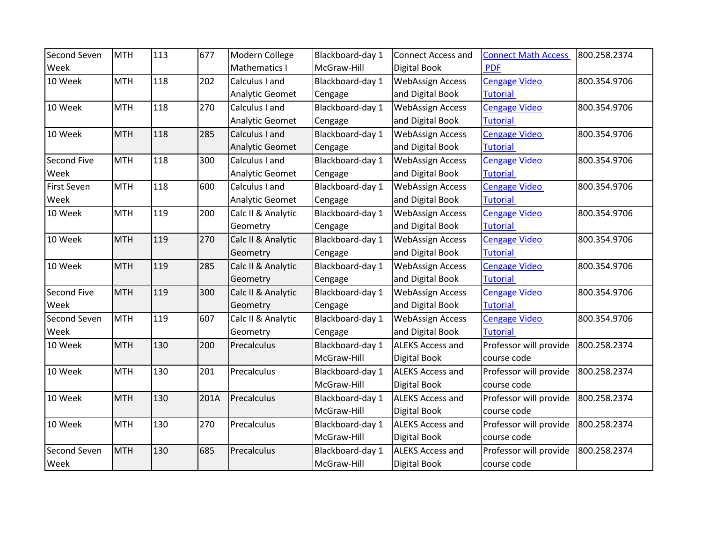| Second Seven       | <b>MTH</b> | 113 | 677  | Modern College         | Blackboard-day 1 | <b>Connect Access and</b> | <b>Connect Math Access</b> | 800.258.2374 |
|--------------------|------------|-----|------|------------------------|------------------|---------------------------|----------------------------|--------------|
| Week               |            |     |      | Mathematics I          | McGraw-Hill      | Digital Book              | <b>PDF</b>                 |              |
| 10 Week            | <b>MTH</b> | 118 | 202  | Calculus I and         | Blackboard-day 1 | <b>WebAssign Access</b>   | <b>Cengage Video</b>       | 800.354.9706 |
|                    |            |     |      | Analytic Geomet        | Cengage          | and Digital Book          | <b>Tutorial</b>            |              |
| 10 Week            | <b>MTH</b> | 118 | 270  | Calculus I and         | Blackboard-day 1 | <b>WebAssign Access</b>   | <b>Cengage Video</b>       | 800.354.9706 |
|                    |            |     |      | Analytic Geomet        | Cengage          | and Digital Book          | <b>Tutorial</b>            |              |
| 10 Week            | <b>MTH</b> | 118 | 285  | Calculus I and         | Blackboard-day 1 | <b>WebAssign Access</b>   | <b>Cengage Video</b>       | 800.354.9706 |
|                    |            |     |      | Analytic Geomet        | Cengage          | and Digital Book          | <b>Tutorial</b>            |              |
| Second Five        | <b>MTH</b> | 118 | 300  | Calculus I and         | Blackboard-day 1 | <b>WebAssign Access</b>   | <b>Cengage Video</b>       | 800.354.9706 |
| Week               |            |     |      | Analytic Geomet        | Cengage          | and Digital Book          | <b>Tutorial</b>            |              |
| <b>First Seven</b> | <b>MTH</b> | 118 | 600  | Calculus I and         | Blackboard-day 1 | <b>WebAssign Access</b>   | <b>Cengage Video</b>       | 800.354.9706 |
| Week               |            |     |      | <b>Analytic Geomet</b> | Cengage          | and Digital Book          | <b>Tutorial</b>            |              |
| 10 Week            | <b>MTH</b> | 119 | 200  | Calc II & Analytic     | Blackboard-day 1 | <b>WebAssign Access</b>   | <b>Cengage Video</b>       | 800.354.9706 |
|                    |            |     |      | Geometry               | Cengage          | and Digital Book          | <b>Tutorial</b>            |              |
| 10 Week            | <b>MTH</b> | 119 | 270  | Calc II & Analytic     | Blackboard-day 1 | <b>WebAssign Access</b>   | <b>Cengage Video</b>       | 800.354.9706 |
|                    |            |     |      | Geometry               | Cengage          | and Digital Book          | <b>Tutorial</b>            |              |
| 10 Week            | <b>MTH</b> | 119 | 285  | Calc II & Analytic     | Blackboard-day 1 | <b>WebAssign Access</b>   | <b>Cengage Video</b>       | 800.354.9706 |
|                    |            |     |      | Geometry               | Cengage          | and Digital Book          | <b>Tutorial</b>            |              |
| <b>Second Five</b> | <b>MTH</b> | 119 | 300  | Calc II & Analytic     | Blackboard-day 1 | <b>WebAssign Access</b>   | <b>Cengage Video</b>       | 800.354.9706 |
| Week               |            |     |      | Geometry               | Cengage          | and Digital Book          | <b>Tutorial</b>            |              |
| Second Seven       | <b>MTH</b> | 119 | 607  | Calc II & Analytic     | Blackboard-day 1 | <b>WebAssign Access</b>   | <b>Cengage Video</b>       | 800.354.9706 |
| Week               |            |     |      | Geometry               | Cengage          | and Digital Book          | <b>Tutorial</b>            |              |
| 10 Week            | <b>MTH</b> | 130 | 200  | Precalculus            | Blackboard-day 1 | <b>ALEKS Access and</b>   | Professor will provide     | 800.258.2374 |
|                    |            |     |      |                        | McGraw-Hill      | Digital Book              | course code                |              |
| 10 Week            | <b>MTH</b> | 130 | 201  | Precalculus            | Blackboard-day 1 | <b>ALEKS Access and</b>   | Professor will provide     | 800.258.2374 |
|                    |            |     |      |                        | McGraw-Hill      | <b>Digital Book</b>       | course code                |              |
| 10 Week            | <b>MTH</b> | 130 | 201A | Precalculus            | Blackboard-day 1 | <b>ALEKS Access and</b>   | Professor will provide     | 800.258.2374 |
|                    |            |     |      |                        | McGraw-Hill      | Digital Book              | course code                |              |
| 10 Week            | <b>MTH</b> | 130 | 270  | Precalculus            | Blackboard-day 1 | <b>ALEKS Access and</b>   | Professor will provide     | 800.258.2374 |
|                    |            |     |      |                        | McGraw-Hill      | <b>Digital Book</b>       | course code                |              |
| Second Seven       | <b>MTH</b> | 130 | 685  | Precalculus            | Blackboard-day 1 | <b>ALEKS Access and</b>   | Professor will provide     | 800.258.2374 |
| Week               |            |     |      |                        | McGraw-Hill      | Digital Book              | course code                |              |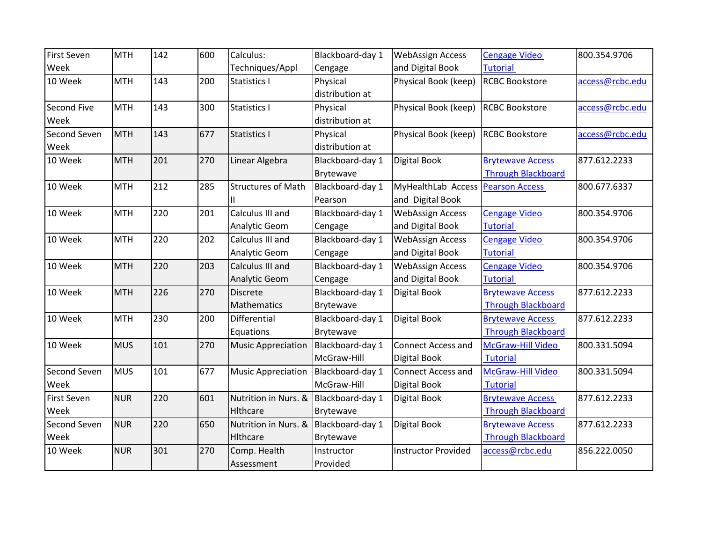| <b>First Seven</b> | <b>MTH</b> | 142 | 600 | Calculus:                 | Blackboard-day 1 | <b>WebAssign Access</b>           | <b>Cengage Video</b>      | 800.354.9706    |
|--------------------|------------|-----|-----|---------------------------|------------------|-----------------------------------|---------------------------|-----------------|
| Week               |            |     |     | Techniques/Appl           | Cengage          | and Digital Book                  | <b>Tutorial</b>           |                 |
| 10 Week            | <b>MTH</b> | 143 | 200 | Statistics I              | Physical         | Physical Book (keep)              | <b>RCBC Bookstore</b>     | access@rcbc.edu |
|                    |            |     |     |                           | distribution at  |                                   |                           |                 |
| <b>Second Five</b> | <b>MTH</b> | 143 | 300 | Statistics I              | Physical         | Physical Book (keep)              | <b>RCBC Bookstore</b>     | access@rcbc.edu |
| Week               |            |     |     |                           | distribution at  |                                   |                           |                 |
| Second Seven       | <b>MTH</b> | 143 | 677 | Statistics I              | Physical         | Physical Book (keep)              | <b>RCBC Bookstore</b>     | access@rcbc.edu |
| Week               |            |     |     |                           | distribution at  |                                   |                           |                 |
| 10 Week            | <b>MTH</b> | 201 | 270 | Linear Algebra            | Blackboard-day 1 | Digital Book                      | <b>Brytewave Access</b>   | 877.612.2233    |
|                    |            |     |     |                           | Brytewave        |                                   | <b>Through Blackboard</b> |                 |
| 10 Week            | <b>MTH</b> | 212 | 285 | <b>Structures of Math</b> | Blackboard-day 1 | MyHealthLab Access Pearson Access |                           | 800.677.6337    |
|                    |            |     |     |                           | Pearson          | and Digital Book                  |                           |                 |
| 10 Week            | <b>MTH</b> | 220 | 201 | Calculus III and          | Blackboard-day 1 | <b>WebAssign Access</b>           | <b>Cengage Video</b>      | 800.354.9706    |
|                    |            |     |     | Analytic Geom             | Cengage          | and Digital Book                  | <b>Tutorial</b>           |                 |
| 10 Week            | <b>MTH</b> | 220 | 202 | Calculus III and          | Blackboard-day 1 | <b>WebAssign Access</b>           | Cengage Video             | 800.354.9706    |
|                    |            |     |     | Analytic Geom             | Cengage          | and Digital Book                  | <b>Tutorial</b>           |                 |
| 10 Week            | <b>MTH</b> | 220 | 203 | Calculus III and          | Blackboard-day 1 | <b>WebAssign Access</b>           | <b>Cengage Video</b>      | 800.354.9706    |
|                    |            |     |     | <b>Analytic Geom</b>      | Cengage          | and Digital Book                  | <b>Tutorial</b>           |                 |
| 10 Week            | <b>MTH</b> | 226 | 270 | <b>Discrete</b>           | Blackboard-day 1 | Digital Book                      | <b>Brytewave Access</b>   | 877.612.2233    |
|                    |            |     |     | Mathematics               | <b>Brytewave</b> |                                   | <b>Through Blackboard</b> |                 |
| 10 Week            | <b>MTH</b> | 230 | 200 | Differential              | Blackboard-day 1 | Digital Book                      | <b>Brytewave Access</b>   | 877.612.2233    |
|                    |            |     |     | Equations                 | Brytewave        |                                   | <b>Through Blackboard</b> |                 |
| 10 Week            | <b>MUS</b> | 101 | 270 | <b>Music Appreciation</b> | Blackboard-day 1 | <b>Connect Access and</b>         | McGraw-Hill Video         | 800.331.5094    |
|                    |            |     |     |                           | McGraw-Hill      | Digital Book                      | <b>Tutorial</b>           |                 |
| Second Seven       | <b>MUS</b> | 101 | 677 | <b>Music Appreciation</b> | Blackboard-day 1 | <b>Connect Access and</b>         | McGraw-Hill Video         | 800.331.5094    |
| Week               |            |     |     |                           | McGraw-Hill      | Digital Book                      | <b>Tutorial</b>           |                 |
| <b>First Seven</b> | <b>NUR</b> | 220 | 601 | Nutrition in Nurs. &      | Blackboard-day 1 | <b>Digital Book</b>               | <b>Brytewave Access</b>   | 877.612.2233    |
| Week               |            |     |     | Hlthcare                  | <b>Brytewave</b> |                                   | <b>Through Blackboard</b> |                 |
| Second Seven       | <b>NUR</b> | 220 | 650 | Nutrition in Nurs. &      | Blackboard-day 1 | <b>Digital Book</b>               | <b>Brytewave Access</b>   | 877.612.2233    |
| Week               |            |     |     | Hithcare                  | Brytewave        |                                   | <b>Through Blackboard</b> |                 |
| 10 Week            | <b>NUR</b> | 301 | 270 | Comp. Health              | Instructor       | <b>Instructor Provided</b>        | access@rcbc.edu           | 856.222.0050    |
|                    |            |     |     | Assessment                | Provided         |                                   |                           |                 |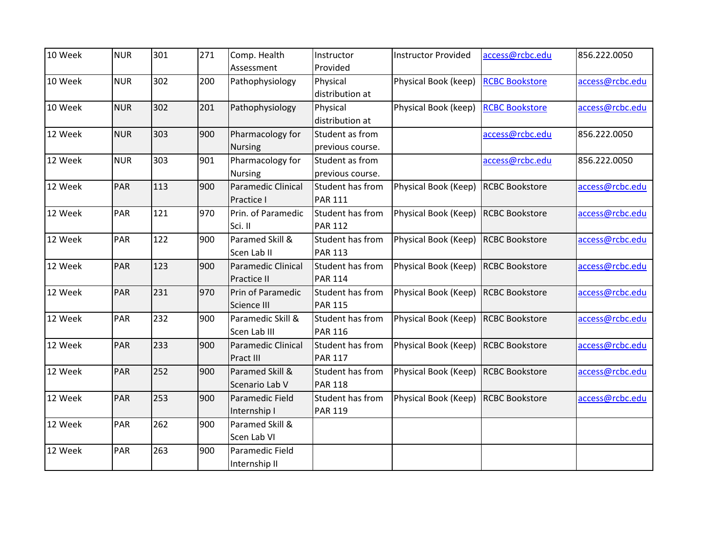| 10 Week | <b>NUR</b> | 301 | 271 | Comp. Health              | Instructor       | <b>Instructor Provided</b> | access@rcbc.edu       | 856.222.0050    |
|---------|------------|-----|-----|---------------------------|------------------|----------------------------|-----------------------|-----------------|
|         |            |     |     | Assessment                | Provided         |                            |                       |                 |
| 10 Week | <b>NUR</b> | 302 | 200 | Pathophysiology           | Physical         | Physical Book (keep)       | <b>RCBC Bookstore</b> | access@rcbc.edu |
|         |            |     |     |                           | distribution at  |                            |                       |                 |
| 10 Week | <b>NUR</b> | 302 | 201 | Pathophysiology           | Physical         | Physical Book (keep)       | <b>RCBC Bookstore</b> | access@rcbc.edu |
|         |            |     |     |                           | distribution at  |                            |                       |                 |
| 12 Week | <b>NUR</b> | 303 | 900 | Pharmacology for          | Student as from  |                            | access@rcbc.edu       | 856.222.0050    |
|         |            |     |     | <b>Nursing</b>            | previous course. |                            |                       |                 |
| 12 Week | <b>NUR</b> | 303 | 901 | Pharmacology for          | Student as from  |                            | access@rcbc.edu       | 856.222.0050    |
|         |            |     |     | <b>Nursing</b>            | previous course. |                            |                       |                 |
| 12 Week | PAR        | 113 | 900 | <b>Paramedic Clinical</b> | Student has from | Physical Book (Keep)       | <b>RCBC Bookstore</b> | access@rcbc.edu |
|         |            |     |     | Practice I                | <b>PAR 111</b>   |                            |                       |                 |
| 12 Week | <b>PAR</b> | 121 | 970 | Prin. of Paramedic        | Student has from | Physical Book (Keep)       | <b>RCBC Bookstore</b> | access@rcbc.edu |
|         |            |     |     | Sci. II                   | <b>PAR 112</b>   |                            |                       |                 |
| 12 Week | PAR        | 122 | 900 | Paramed Skill &           | Student has from | Physical Book (Keep)       | <b>RCBC Bookstore</b> | access@rcbc.edu |
|         |            |     |     | Scen Lab II               | <b>PAR 113</b>   |                            |                       |                 |
| 12 Week | <b>PAR</b> | 123 | 900 | <b>Paramedic Clinical</b> | Student has from | Physical Book (Keep)       | <b>RCBC Bookstore</b> | access@rcbc.edu |
|         |            |     |     | Practice II               | <b>PAR 114</b>   |                            |                       |                 |
| 12 Week | PAR        | 231 | 970 | Prin of Paramedic         | Student has from | Physical Book (Keep)       | <b>RCBC Bookstore</b> | access@rcbc.edu |
|         |            |     |     | Science III               | <b>PAR 115</b>   |                            |                       |                 |
| 12 Week | PAR        | 232 | 900 | Paramedic Skill &         | Student has from | Physical Book (Keep)       | <b>RCBC Bookstore</b> | access@rcbc.edu |
|         |            |     |     | Scen Lab III              | <b>PAR 116</b>   |                            |                       |                 |
| 12 Week | PAR        | 233 | 900 | <b>Paramedic Clinical</b> | Student has from | Physical Book (Keep)       | <b>RCBC Bookstore</b> | access@rcbc.edu |
|         |            |     |     | Pract III                 | <b>PAR 117</b>   |                            |                       |                 |
| 12 Week | PAR        | 252 | 900 | Paramed Skill &           | Student has from | Physical Book (Keep)       | <b>RCBC Bookstore</b> | access@rcbc.edu |
|         |            |     |     | Scenario Lab V            | <b>PAR 118</b>   |                            |                       |                 |
| 12 Week | PAR        | 253 | 900 | Paramedic Field           | Student has from | Physical Book (Keep)       | <b>RCBC Bookstore</b> | access@rcbc.edu |
|         |            |     |     | Internship I              | <b>PAR 119</b>   |                            |                       |                 |
| 12 Week | PAR        | 262 | 900 | Paramed Skill &           |                  |                            |                       |                 |
|         |            |     |     | Scen Lab VI               |                  |                            |                       |                 |
| 12 Week | PAR        | 263 | 900 | Paramedic Field           |                  |                            |                       |                 |
|         |            |     |     | Internship II             |                  |                            |                       |                 |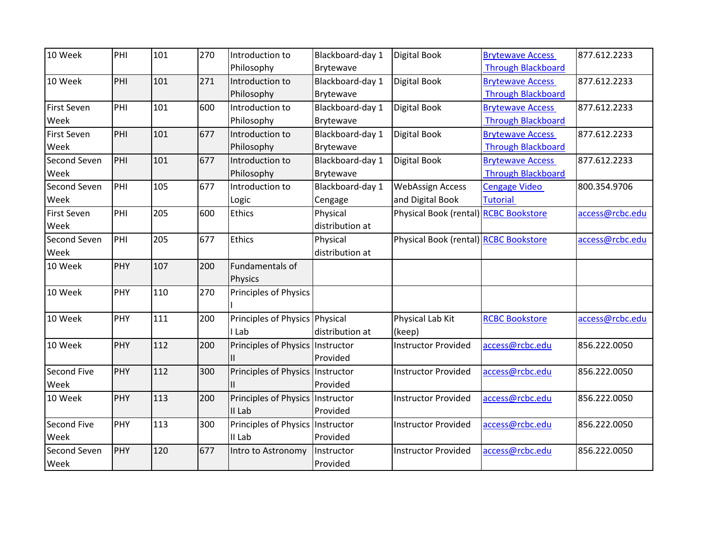| 10 Week            | PHI | 101 | 270 | Introduction to                  | Blackboard-day 1 | Digital Book                          | <b>Brytewave Access</b>   | 877.612.2233    |
|--------------------|-----|-----|-----|----------------------------------|------------------|---------------------------------------|---------------------------|-----------------|
|                    |     |     |     | Philosophy                       | Brytewave        |                                       | <b>Through Blackboard</b> |                 |
| 10 Week            | PHI | 101 | 271 | Introduction to                  | Blackboard-day 1 | Digital Book                          | <b>Brytewave Access</b>   | 877.612.2233    |
|                    |     |     |     | Philosophy                       | Brytewave        |                                       | <b>Through Blackboard</b> |                 |
| <b>First Seven</b> | PHI | 101 | 600 | Introduction to                  | Blackboard-day 1 | Digital Book                          | <b>Brytewave Access</b>   | 877.612.2233    |
| Week               |     |     |     | Philosophy                       | Brytewave        |                                       | <b>Through Blackboard</b> |                 |
| <b>First Seven</b> | PHI | 101 | 677 | Introduction to                  | Blackboard-day 1 | Digital Book                          | <b>Brytewave Access</b>   | 877.612.2233    |
| Week               |     |     |     | Philosophy                       | <b>Brytewave</b> |                                       | <b>Through Blackboard</b> |                 |
| Second Seven       | PHI | 101 | 677 | Introduction to                  | Blackboard-day 1 | Digital Book                          | <b>Brytewave Access</b>   | 877.612.2233    |
| Week               |     |     |     | Philosophy                       | Brytewave        |                                       | <b>Through Blackboard</b> |                 |
| Second Seven       | PHI | 105 | 677 | Introduction to                  | Blackboard-day 1 | <b>WebAssign Access</b>               | <b>Cengage Video</b>      | 800.354.9706    |
| Week               |     |     |     | Logic                            | Cengage          | and Digital Book                      | <b>Tutorial</b>           |                 |
| <b>First Seven</b> | PHI | 205 | 600 | <b>Ethics</b>                    | Physical         | Physical Book (rental) RCBC Bookstore |                           | access@rcbc.edu |
| Week               |     |     |     |                                  | distribution at  |                                       |                           |                 |
| Second Seven       | PHI | 205 | 677 | <b>Ethics</b>                    | Physical         | Physical Book (rental) RCBC Bookstore |                           | access@rcbc.edu |
| Week               |     |     |     |                                  | distribution at  |                                       |                           |                 |
| 10 Week            | PHY | 107 | 200 | Fundamentals of                  |                  |                                       |                           |                 |
|                    |     |     |     | Physics                          |                  |                                       |                           |                 |
| 10 Week            | PHY | 110 | 270 | Principles of Physics            |                  |                                       |                           |                 |
| 10 Week            | PHY | 111 | 200 | Principles of Physics Physical   |                  | Physical Lab Kit                      | <b>RCBC Bookstore</b>     | access@rcbc.edu |
|                    |     |     |     | I Lab                            | distribution at  | (keep)                                |                           |                 |
| 10 Week            | PHY | 112 | 200 | Principles of Physics Instructor |                  | <b>Instructor Provided</b>            | access@rcbc.edu           | 856.222.0050    |
|                    |     |     |     |                                  | Provided         |                                       |                           |                 |
| Second Five        | PHY | 112 | 300 | Principles of Physics Instructor |                  | <b>Instructor Provided</b>            | access@rcbc.edu           | 856.222.0050    |
| Week               |     |     |     |                                  | Provided         |                                       |                           |                 |
| 10 Week            | PHY | 113 | 200 | Principles of Physics Instructor |                  | <b>Instructor Provided</b>            | access@rcbc.edu           | 856.222.0050    |
|                    |     |     |     | II Lab                           | Provided         |                                       |                           |                 |
| <b>Second Five</b> | PHY | 113 | 300 | Principles of Physics Instructor |                  | <b>Instructor Provided</b>            | access@rcbc.edu           | 856.222.0050    |
| Week               |     |     |     | II Lab                           | Provided         |                                       |                           |                 |
| Second Seven       | PHY | 120 | 677 | Intro to Astronomy               | Instructor       | <b>Instructor Provided</b>            | access@rcbc.edu           | 856.222.0050    |
| Week               |     |     |     |                                  | Provided         |                                       |                           |                 |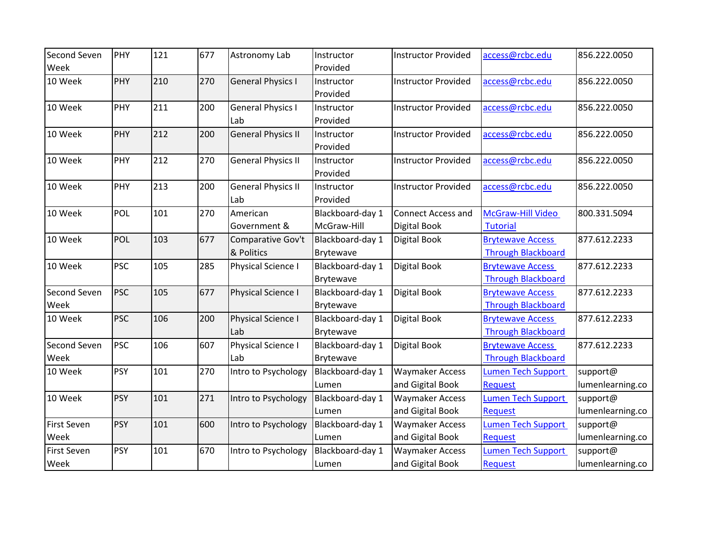| Second Seven<br>Week       | PHY        | 121 | 677 | Astronomy Lab                    | Instructor<br>Provided          | <b>Instructor Provided</b>                 | access@rcbc.edu                                      | 856.222.0050                 |
|----------------------------|------------|-----|-----|----------------------------------|---------------------------------|--------------------------------------------|------------------------------------------------------|------------------------------|
| 10 Week                    | PHY        | 210 | 270 | <b>General Physics I</b>         | Instructor<br>Provided          | <b>Instructor Provided</b>                 | access@rcbc.edu                                      | 856.222.0050                 |
| 10 Week                    | PHY        | 211 | 200 | <b>General Physics I</b><br>Lab  | Instructor<br>Provided          | <b>Instructor Provided</b>                 | access@rcbc.edu                                      | 856.222.0050                 |
| 10 Week                    | <b>PHY</b> | 212 | 200 | <b>General Physics II</b>        | Instructor<br>Provided          | <b>Instructor Provided</b>                 | access@rcbc.edu                                      | 856.222.0050                 |
| 10 Week                    | PHY        | 212 | 270 | <b>General Physics II</b>        | Instructor<br>Provided          | <b>Instructor Provided</b>                 | access@rcbc.edu                                      | 856.222.0050                 |
| 10 Week                    | PHY        | 213 | 200 | <b>General Physics II</b><br>Lab | Instructor<br>Provided          | <b>Instructor Provided</b>                 | access@rcbc.edu                                      | 856.222.0050                 |
| 10 Week                    | POL        | 101 | 270 | American<br>Government &         | Blackboard-day 1<br>McGraw-Hill | <b>Connect Access and</b><br>Digital Book  | McGraw-Hill Video<br><b>Tutorial</b>                 | 800.331.5094                 |
| 10 Week                    | <b>POL</b> | 103 | 677 | Comparative Gov't<br>& Politics  | Blackboard-day 1<br>Brytewave   | <b>Digital Book</b>                        | <b>Brytewave Access</b><br><b>Through Blackboard</b> | 877.612.2233                 |
| 10 Week                    | <b>PSC</b> | 105 | 285 | Physical Science I               | Blackboard-day 1<br>Brytewave   | <b>Digital Book</b>                        | <b>Brytewave Access</b><br><b>Through Blackboard</b> | 877.612.2233                 |
| Second Seven<br>Week       | <b>PSC</b> | 105 | 677 | Physical Science I               | Blackboard-day 1<br>Brytewave   | Digital Book                               | <b>Brytewave Access</b><br><b>Through Blackboard</b> | 877.612.2233                 |
| 10 Week                    | <b>PSC</b> | 106 | 200 | Physical Science I<br>Lab        | Blackboard-day 1<br>Brytewave   | Digital Book                               | <b>Brytewave Access</b><br><b>Through Blackboard</b> | 877.612.2233                 |
| Second Seven<br>Week       | <b>PSC</b> | 106 | 607 | Physical Science I<br>Lab        | Blackboard-day 1<br>Brytewave   | <b>Digital Book</b>                        | <b>Brytewave Access</b><br><b>Through Blackboard</b> | 877.612.2233                 |
| 10 Week                    | <b>PSY</b> | 101 | 270 | Intro to Psychology              | Blackboard-day 1<br>Lumen       | <b>Waymaker Access</b><br>and Gigital Book | Lumen Tech Support<br><b>Request</b>                 | support@<br>lumenlearning.co |
| 10 Week                    | <b>PSY</b> | 101 | 271 | Intro to Psychology              | Blackboard-day 1<br>Lumen       | <b>Waymaker Access</b><br>and Gigital Book | Lumen Tech Support<br><b>Request</b>                 | support@<br>lumenlearning.co |
| <b>First Seven</b><br>Week | <b>PSY</b> | 101 | 600 | Intro to Psychology              | Blackboard-day 1<br>Lumen       | <b>Waymaker Access</b><br>and Gigital Book | <b>Lumen Tech Support</b><br><b>Request</b>          | support@<br>lumenlearning.co |
| <b>First Seven</b><br>Week | <b>PSY</b> | 101 | 670 | Intro to Psychology              | Blackboard-day 1<br>Lumen       | <b>Waymaker Access</b><br>and Gigital Book | <b>Lumen Tech Support</b><br><b>Request</b>          | support@<br>lumenlearning.co |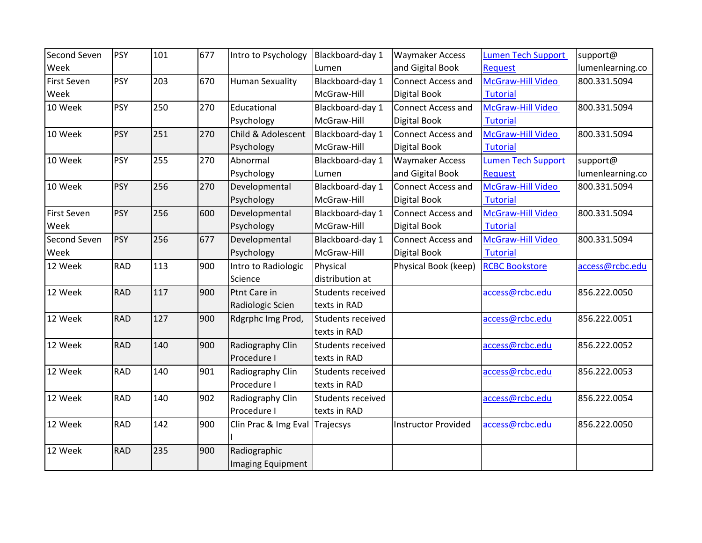| Second Seven       | <b>PSY</b> | 101 | 677 | Intro to Psychology            | Blackboard-day 1         | <b>Waymaker Access</b>     | <b>Lumen Tech Support</b> | support@         |
|--------------------|------------|-----|-----|--------------------------------|--------------------------|----------------------------|---------------------------|------------------|
| Week               |            |     |     |                                | Lumen                    | and Gigital Book           | <b>Request</b>            | lumenlearning.co |
| <b>First Seven</b> | <b>PSY</b> | 203 | 670 | <b>Human Sexuality</b>         | Blackboard-day 1         | <b>Connect Access and</b>  | McGraw-Hill Video         | 800.331.5094     |
| Week               |            |     |     |                                | McGraw-Hill              | <b>Digital Book</b>        | <b>Tutorial</b>           |                  |
| 10 Week            | PSY        | 250 | 270 | Educational                    | Blackboard-day 1         | <b>Connect Access and</b>  | McGraw-Hill Video         | 800.331.5094     |
|                    |            |     |     | Psychology                     | McGraw-Hill              | <b>Digital Book</b>        | <b>Tutorial</b>           |                  |
| 10 Week            | <b>PSY</b> | 251 | 270 | Child & Adolescent             | Blackboard-day 1         | <b>Connect Access and</b>  | McGraw-Hill Video         | 800.331.5094     |
|                    |            |     |     | Psychology                     | McGraw-Hill              | Digital Book               | <b>Tutorial</b>           |                  |
| 10 Week            | <b>PSY</b> | 255 | 270 | Abnormal                       | Blackboard-day 1         | <b>Waymaker Access</b>     | Lumen Tech Support        | support@         |
|                    |            |     |     | Psychology                     | Lumen                    | and Gigital Book           | <b>Request</b>            | lumenlearning.co |
| 10 Week            | <b>PSY</b> | 256 | 270 | Developmental                  | Blackboard-day 1         | <b>Connect Access and</b>  | McGraw-Hill Video         | 800.331.5094     |
|                    |            |     |     | Psychology                     | McGraw-Hill              | Digital Book               | <b>Tutorial</b>           |                  |
| <b>First Seven</b> | <b>PSY</b> | 256 | 600 | Developmental                  | Blackboard-day 1         | <b>Connect Access and</b>  | McGraw-Hill Video         | 800.331.5094     |
| Week               |            |     |     | Psychology                     | McGraw-Hill              | Digital Book               | <b>Tutorial</b>           |                  |
| Second Seven       | <b>PSY</b> | 256 | 677 | Developmental                  | Blackboard-day 1         | <b>Connect Access and</b>  | McGraw-Hill Video         | 800.331.5094     |
| Week               |            |     |     | Psychology                     | McGraw-Hill              | <b>Digital Book</b>        | <b>Tutorial</b>           |                  |
| 12 Week            | <b>RAD</b> | 113 | 900 | Intro to Radiologic            | Physical                 | Physical Book (keep)       | <b>RCBC Bookstore</b>     | access@rcbc.edu  |
|                    |            |     |     | Science                        | distribution at          |                            |                           |                  |
| 12 Week            | <b>RAD</b> | 117 | 900 | Ptnt Care in                   | Students received        |                            | access@rcbc.edu           | 856.222.0050     |
|                    |            |     |     | Radiologic Scien               | texts in RAD             |                            |                           |                  |
| 12 Week            | <b>RAD</b> | 127 | 900 | Rdgrphc Img Prod,              | Students received        |                            | access@rcbc.edu           | 856.222.0051     |
|                    |            |     |     |                                | texts in RAD             |                            |                           |                  |
| 12 Week            | <b>RAD</b> | 140 | 900 | Radiography Clin               | Students received        |                            | access@rcbc.edu           | 856.222.0052     |
|                    |            |     |     | Procedure I                    | texts in RAD             |                            |                           |                  |
| 12 Week            | <b>RAD</b> | 140 | 901 | Radiography Clin               | <b>Students received</b> |                            | access@rcbc.edu           | 856.222.0053     |
|                    |            |     |     | Procedure I                    | texts in RAD             |                            |                           |                  |
| 12 Week            | <b>RAD</b> | 140 | 902 | Radiography Clin               | Students received        |                            | access@rcbc.edu           | 856.222.0054     |
|                    |            |     |     | Procedure I                    | texts in RAD             |                            |                           |                  |
| 12 Week            | <b>RAD</b> | 142 | 900 | Clin Prac & Img Eval Trajecsys |                          | <b>Instructor Provided</b> | access@rcbc.edu           | 856.222.0050     |
|                    |            |     |     |                                |                          |                            |                           |                  |
| 12 Week            | <b>RAD</b> | 235 | 900 | Radiographic                   |                          |                            |                           |                  |
|                    |            |     |     | <b>Imaging Equipment</b>       |                          |                            |                           |                  |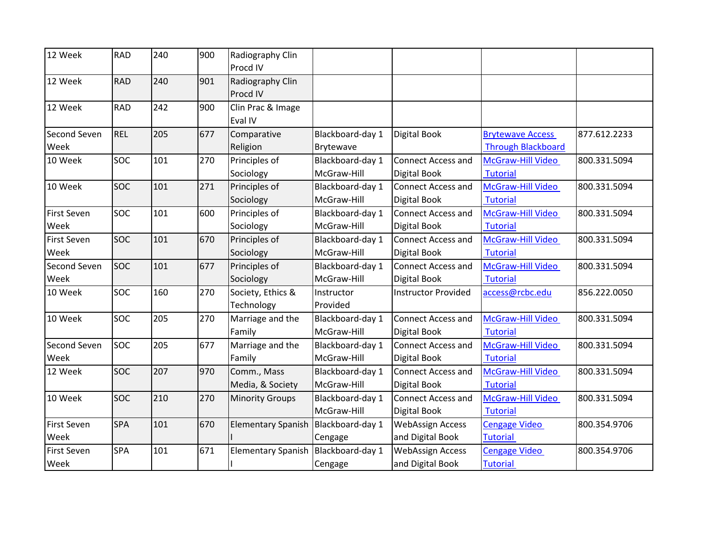| 12 Week                    | <b>RAD</b> | 240 | 900 | Radiography Clin<br>Procd IV        |                                 |                                                  |                                                      |              |
|----------------------------|------------|-----|-----|-------------------------------------|---------------------------------|--------------------------------------------------|------------------------------------------------------|--------------|
| 12 Week                    | <b>RAD</b> | 240 | 901 | Radiography Clin<br>Procd IV        |                                 |                                                  |                                                      |              |
| 12 Week                    | <b>RAD</b> | 242 | 900 | Clin Prac & Image<br>Eval IV        |                                 |                                                  |                                                      |              |
| Second Seven<br>Week       | <b>REL</b> | 205 | 677 | Comparative<br>Religion             | Blackboard-day 1<br>Brytewave   | Digital Book                                     | <b>Brytewave Access</b><br><b>Through Blackboard</b> | 877.612.2233 |
| 10 Week                    | <b>SOC</b> | 101 | 270 | Principles of<br>Sociology          | Blackboard-day 1<br>McGraw-Hill | <b>Connect Access and</b><br>Digital Book        | McGraw-Hill Video<br><b>Tutorial</b>                 | 800.331.5094 |
| 10 Week                    | <b>SOC</b> | 101 | 271 | Principles of<br>Sociology          | Blackboard-day 1<br>McGraw-Hill | <b>Connect Access and</b><br>Digital Book        | McGraw-Hill Video<br><b>Tutorial</b>                 | 800.331.5094 |
| <b>First Seven</b><br>Week | <b>SOC</b> | 101 | 600 | Principles of<br>Sociology          | Blackboard-day 1<br>McGraw-Hill | <b>Connect Access and</b><br>Digital Book        | McGraw-Hill Video<br><b>Tutorial</b>                 | 800.331.5094 |
| <b>First Seven</b><br>Week | SOC        | 101 | 670 | Principles of<br>Sociology          | Blackboard-day 1<br>McGraw-Hill | <b>Connect Access and</b><br><b>Digital Book</b> | McGraw-Hill Video<br><b>Tutorial</b>                 | 800.331.5094 |
| Second Seven<br>Week       | <b>SOC</b> | 101 | 677 | Principles of<br>Sociology          | Blackboard-day 1<br>McGraw-Hill | <b>Connect Access and</b><br>Digital Book        | McGraw-Hill Video<br><b>Tutorial</b>                 | 800.331.5094 |
| 10 Week                    | SOC        | 160 | 270 | Society, Ethics &<br>Technology     | Instructor<br>Provided          | <b>Instructor Provided</b>                       | access@rcbc.edu                                      | 856.222.0050 |
| 10 Week                    | SOC        | 205 | 270 | Marriage and the<br>Family          | Blackboard-day 1<br>McGraw-Hill | <b>Connect Access and</b><br>Digital Book        | McGraw-Hill Video<br><b>Tutorial</b>                 | 800.331.5094 |
| Second Seven<br>Week       | SOC        | 205 | 677 | Marriage and the<br>Family          | Blackboard-day 1<br>McGraw-Hill | <b>Connect Access and</b><br>Digital Book        | McGraw-Hill Video<br><b>Tutorial</b>                 | 800.331.5094 |
| 12 Week                    | SOC        | 207 | 970 | Comm., Mass<br>Media, & Society     | Blackboard-day 1<br>McGraw-Hill | <b>Connect Access and</b><br>Digital Book        | McGraw-Hill Video<br><b>Tutorial</b>                 | 800.331.5094 |
| 10 Week                    | SOC        | 210 | 270 | <b>Minority Groups</b>              | Blackboard-day 1<br>McGraw-Hill | <b>Connect Access and</b><br>Digital Book        | McGraw-Hill Video<br><b>Tutorial</b>                 | 800.331.5094 |
| <b>First Seven</b><br>Week | <b>SPA</b> | 101 | 670 | Elementary Spanish Blackboard-day 1 | Cengage                         | <b>WebAssign Access</b><br>and Digital Book      | <b>Cengage Video</b><br><b>Tutorial</b>              | 800.354.9706 |
| First Seven<br>Week        | SPA        | 101 | 671 | <b>Elementary Spanish</b>           | Blackboard-day 1<br>Cengage     | <b>WebAssign Access</b><br>and Digital Book      | <b>Cengage Video</b><br><b>Tutorial</b>              | 800.354.9706 |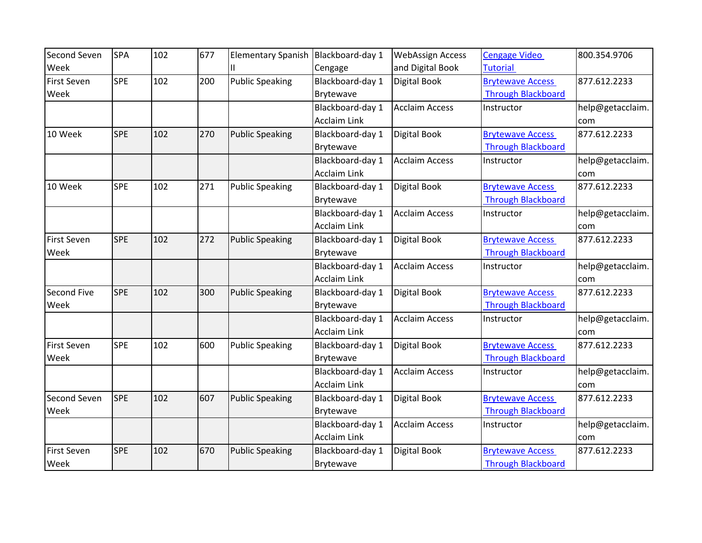| Second Seven       | <b>SPA</b> | 102 | 677 | <b>Elementary Spanish</b> | Blackboard-day 1    | <b>WebAssign Access</b> | <b>Cengage Video</b>      | 800.354.9706     |
|--------------------|------------|-----|-----|---------------------------|---------------------|-------------------------|---------------------------|------------------|
| Week               |            |     |     |                           | Cengage             | and Digital Book        | <b>Tutorial</b>           |                  |
| <b>First Seven</b> | <b>SPE</b> | 102 | 200 | <b>Public Speaking</b>    | Blackboard-day 1    | Digital Book            | <b>Brytewave Access</b>   | 877.612.2233     |
| Week               |            |     |     |                           | Brytewave           |                         | <b>Through Blackboard</b> |                  |
|                    |            |     |     |                           | Blackboard-day 1    | <b>Acclaim Access</b>   | Instructor                | help@getacclaim. |
|                    |            |     |     |                           | <b>Acclaim Link</b> |                         |                           | com              |
| 10 Week            | <b>SPE</b> | 102 | 270 | <b>Public Speaking</b>    | Blackboard-day 1    | Digital Book            | <b>Brytewave Access</b>   | 877.612.2233     |
|                    |            |     |     |                           | Brytewave           |                         | <b>Through Blackboard</b> |                  |
|                    |            |     |     |                           | Blackboard-day 1    | <b>Acclaim Access</b>   | Instructor                | help@getacclaim. |
|                    |            |     |     |                           | <b>Acclaim Link</b> |                         |                           | com              |
| 10 Week            | <b>SPE</b> | 102 | 271 | <b>Public Speaking</b>    | Blackboard-day 1    | <b>Digital Book</b>     | <b>Brytewave Access</b>   | 877.612.2233     |
|                    |            |     |     |                           | Brytewave           |                         | <b>Through Blackboard</b> |                  |
|                    |            |     |     |                           | Blackboard-day 1    | <b>Acclaim Access</b>   | Instructor                | help@getacclaim. |
|                    |            |     |     |                           | <b>Acclaim Link</b> |                         |                           | com              |
| <b>First Seven</b> | <b>SPE</b> | 102 | 272 | <b>Public Speaking</b>    | Blackboard-day 1    | Digital Book            | <b>Brytewave Access</b>   | 877.612.2233     |
| Week               |            |     |     |                           | Brytewave           |                         | <b>Through Blackboard</b> |                  |
|                    |            |     |     |                           | Blackboard-day 1    | <b>Acclaim Access</b>   | Instructor                | help@getacclaim. |
|                    |            |     |     |                           | <b>Acclaim Link</b> |                         |                           | com              |
| Second Five        | <b>SPE</b> | 102 | 300 | <b>Public Speaking</b>    | Blackboard-day 1    | <b>Digital Book</b>     | <b>Brytewave Access</b>   | 877.612.2233     |
| Week               |            |     |     |                           | Brytewave           |                         | <b>Through Blackboard</b> |                  |
|                    |            |     |     |                           | Blackboard-day 1    | <b>Acclaim Access</b>   | Instructor                | help@getacclaim. |
|                    |            |     |     |                           | <b>Acclaim Link</b> |                         |                           | com              |
| <b>First Seven</b> | <b>SPE</b> | 102 | 600 | <b>Public Speaking</b>    | Blackboard-day 1    | <b>Digital Book</b>     | <b>Brytewave Access</b>   | 877.612.2233     |
| Week               |            |     |     |                           | Brytewave           |                         | <b>Through Blackboard</b> |                  |
|                    |            |     |     |                           | Blackboard-day 1    | <b>Acclaim Access</b>   | Instructor                | help@getacclaim. |
|                    |            |     |     |                           | <b>Acclaim Link</b> |                         |                           | com              |
| Second Seven       | <b>SPE</b> | 102 | 607 | <b>Public Speaking</b>    | Blackboard-day 1    | <b>Digital Book</b>     | <b>Brytewave Access</b>   | 877.612.2233     |
| Week               |            |     |     |                           | Brytewave           |                         | <b>Through Blackboard</b> |                  |
|                    |            |     |     |                           | Blackboard-day 1    | <b>Acclaim Access</b>   | Instructor                | help@getacclaim. |
|                    |            |     |     |                           | <b>Acclaim Link</b> |                         |                           | com              |
| <b>First Seven</b> | <b>SPE</b> | 102 | 670 | <b>Public Speaking</b>    | Blackboard-day 1    | Digital Book            | <b>Brytewave Access</b>   | 877.612.2233     |
| Week               |            |     |     |                           | Brytewave           |                         | <b>Through Blackboard</b> |                  |